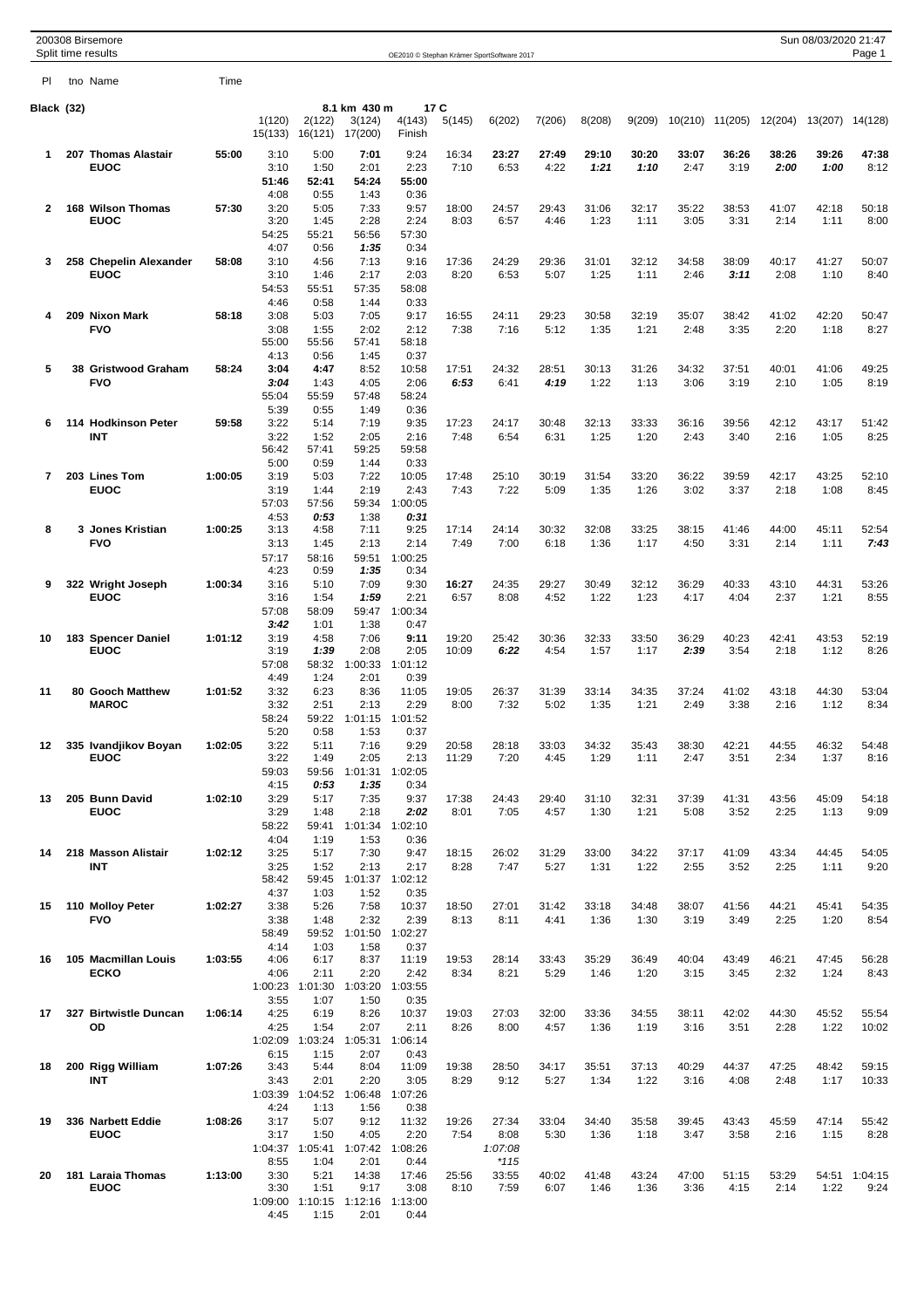|            |     | 200308 Birsemore<br>Split time results |         |                   |                         |                   |                  |               | OE2010 © Stephan Krämer SportSoftware 2017 |               |               |               |               |                 |               | Sun 08/03/2020 21:47 | Page 1          |
|------------|-----|----------------------------------------|---------|-------------------|-------------------------|-------------------|------------------|---------------|--------------------------------------------|---------------|---------------|---------------|---------------|-----------------|---------------|----------------------|-----------------|
| PI         |     | tno Name                               | Time    |                   |                         |                   |                  |               |                                            |               |               |               |               |                 |               |                      |                 |
| Black (32) |     |                                        |         |                   |                         | 8.1 km 430 m      |                  | 17 C          |                                            |               |               |               |               |                 |               |                      |                 |
|            |     |                                        |         | 1(120)<br>15(133) | 2(122)<br>16(121)       | 3(124)<br>17(200) | 4(143)<br>Finish | 5(145)        | 6(202)                                     | 7(206)        | 8(208)        | 9(209)        |               | 10(210) 11(205) | 12(204)       | 13(207) 14(128)      |                 |
| 1          |     | 207 Thomas Alastair                    | 55:00   | 3:10              | 5:00                    | 7:01              | 9:24             | 16:34         | 23:27                                      | 27:49         | 29:10         | 30:20         | 33:07         | 36:26           | 38:26         | 39:26                | 47:38           |
|            |     | <b>EUOC</b>                            |         | 3:10<br>51:46     | 1:50<br>52:41           | 2:01<br>54:24     | 2:23<br>55:00    | 7:10          | 6:53                                       | 4:22          | 1:21          | 1:10          | 2:47          | 3:19            | 2:00          | 1:00                 | 8:12            |
|            |     |                                        |         | 4:08              | 0:55                    | 1:43              | 0:36             |               |                                            |               |               |               |               |                 |               |                      |                 |
| 2          | 168 | <b>Wilson Thomas</b><br><b>EUOC</b>    | 57:30   | 3:20<br>3:20      | 5:05<br>1:45            | 7:33<br>2:28      | 9:57<br>2:24     | 18:00<br>8:03 | 24:57<br>6:57                              | 29:43<br>4:46 | 31:06<br>1:23 | 32:17<br>1:11 | 35:22<br>3:05 | 38:53<br>3:31   | 41:07<br>2:14 | 42:18<br>1:11        | 50:18<br>8:00   |
|            |     |                                        |         | 54:25<br>4:07     | 55:21<br>0:56           | 56:56<br>1:35     | 57:30<br>0:34    |               |                                            |               |               |               |               |                 |               |                      |                 |
| 3          |     | 258 Chepelin Alexander                 | 58:08   | 3:10              | 4:56                    | 7:13              | 9:16             | 17:36         | 24:29                                      | 29:36         | 31:01         | 32:12         | 34:58         | 38:09           | 40:17         | 41:27                | 50:07           |
|            |     | <b>EUOC</b>                            |         | 3:10<br>54:53     | 1:46<br>55:51           | 2:17<br>57:35     | 2:03<br>58:08    | 8:20          | 6:53                                       | 5:07          | 1:25          | 1:11          | 2:46          | 3:11            | 2:08          | 1:10                 | 8:40            |
| 4          |     | 209 Nixon Mark                         | 58:18   | 4:46<br>3:08      | 0:58<br>5:03            | 1:44<br>7:05      | 0:33<br>9:17     | 16:55         | 24:11                                      | 29:23         | 30:58         | 32:19         | 35:07         | 38:42           | 41:02         | 42:20                | 50:47           |
|            |     | <b>FVO</b>                             |         | 3:08              | 1:55                    | 2:02              | 2:12             | 7:38          | 7:16                                       | 5:12          | 1:35          | 1:21          | 2:48          | 3:35            | 2:20          | 1:18                 | 8:27            |
|            |     |                                        |         | 55:00<br>4:13     | 55:56<br>0:56           | 57:41<br>1:45     | 58:18<br>0:37    |               |                                            |               |               |               |               |                 |               |                      |                 |
| 5          |     | 38 Gristwood Graham<br><b>FVO</b>      | 58:24   | 3:04<br>3:04      | 4:47                    | 8:52              | 10:58<br>2:06    | 17:51<br>6:53 | 24:32                                      | 28:51<br>4:19 | 30:13         | 31:26         | 34:32<br>3:06 | 37:51           | 40:01         | 41:06<br>1:05        | 49:25<br>8:19   |
|            |     |                                        |         | 55:04             | 1:43<br>55:59           | 4:05<br>57:48     | 58:24            |               | 6:41                                       |               | 1:22          | 1:13          |               | 3:19            | 2:10          |                      |                 |
| 6          |     | 114 Hodkinson Peter                    | 59:58   | 5:39<br>3:22      | 0:55<br>5:14            | 1:49<br>7:19      | 0:36<br>9:35     | 17:23         | 24:17                                      | 30:48         | 32:13         | 33:33         | 36:16         | 39:56           | 42:12         | 43:17                | 51:42           |
|            |     | INT                                    |         | 3:22              | 1:52                    | 2:05              | 2:16             | 7:48          | 6:54                                       | 6:31          | 1:25          | 1:20          | 2:43          | 3:40            | 2:16          | 1:05                 | 8:25            |
|            |     |                                        |         | 56:42<br>5:00     | 57:41<br>0:59           | 59:25<br>1:44     | 59:58<br>0:33    |               |                                            |               |               |               |               |                 |               |                      |                 |
| 7          |     | 203 Lines Tom<br><b>EUOC</b>           | 1:00:05 | 3:19<br>3:19      | 5:03<br>1:44            | 7:22<br>2:19      | 10:05<br>2:43    | 17:48<br>7:43 | 25:10<br>7:22                              | 30:19<br>5:09 | 31:54<br>1:35 | 33:20<br>1:26 | 36:22<br>3:02 | 39:59<br>3:37   | 42:17<br>2:18 | 43:25<br>1:08        | 52:10<br>8:45   |
|            |     |                                        |         | 57:03             | 57:56                   | 59:34             | 1:00:05          |               |                                            |               |               |               |               |                 |               |                      |                 |
| 8          |     | 3 Jones Kristian                       | 1:00:25 | 4:53<br>3:13      | 0:53<br>4:58            | 1:38<br>7:11      | 0:31<br>9:25     | 17:14         | 24:14                                      | 30:32         | 32:08         | 33:25         | 38:15         | 41:46           | 44:00         | 45:11                | 52:54           |
|            |     | <b>FVO</b>                             |         | 3:13<br>57:17     | 1:45<br>58:16           | 2:13<br>59:51     | 2:14<br>1:00:25  | 7:49          | 7:00                                       | 6:18          | 1:36          | 1:17          | 4:50          | 3:31            | 2:14          | 1:11                 | 7:43            |
|            |     |                                        |         | 4:23              | 0:59                    | 1:35              | 0:34             |               |                                            |               |               |               |               |                 |               |                      |                 |
| 9          |     | 322 Wright Joseph<br><b>EUOC</b>       | 1:00:34 | 3:16<br>3:16      | 5:10<br>1:54            | 7:09<br>1:59      | 9:30<br>2:21     | 16:27<br>6:57 | 24:35<br>8:08                              | 29:27<br>4:52 | 30:49<br>1:22 | 32:12<br>1:23 | 36:29<br>4:17 | 40:33<br>4:04   | 43:10<br>2:37 | 44:31<br>1:21        | 53:26<br>8:55   |
|            |     |                                        |         | 57:08             | 58:09                   | 59:47             | 1:00:34          |               |                                            |               |               |               |               |                 |               |                      |                 |
| 10         |     | 183 Spencer Daniel                     | 1:01:12 | 3:42<br>3:19      | 1:01<br>4:58            | 1:38<br>7:06      | 0:47<br>9:11     | 19:20         | 25:42                                      | 30:36         | 32:33         | 33:50         | 36:29         | 40:23           | 42:41         | 43:53                | 52:19           |
|            |     | <b>EUOC</b>                            |         | 3:19<br>57:08     | 1:39<br>58:32           | 2:08<br>1:00:33   | 2:05<br>1:01:12  | 10:09         | 6:22                                       | 4:54          | 1:57          | 1:17          | 2:39          | 3:54            | 2:18          | 1:12                 | 8:26            |
|            |     |                                        |         | 4:49              | 1:24                    | 2:01              | 0:39             |               |                                            |               |               |               |               |                 |               |                      |                 |
| 11         |     | 80 Gooch Matthew<br><b>MAROC</b>       | 1:01:52 | 3:32<br>3:32      | 6:23<br>2:51            | 8:36<br>2:13      | 11:05<br>2:29    | 19:05<br>8:00 | 26:37<br>7:32                              | 31:39<br>5:02 | 33:14<br>1:35 | 34:35<br>1:21 | 37:24<br>2:49 | 41:02<br>3:38   | 43:18<br>2:16 | 44:30<br>1:12        | 53:04<br>8:34   |
|            |     |                                        |         | 58:24<br>5:20     | 59:22<br>0:58           | 1:01:15<br>1:53   | 1:01:52<br>0:37  |               |                                            |               |               |               |               |                 |               |                      |                 |
| 12         |     | 335 Ivandjikov Boyan                   | 1:02:05 | 3:22              | 5:11                    | 7:16              | 9:29             | 20:58         | 28:18                                      | 33:03         | 34:32         | 35:43         | 38:30         | 42:21           | 44:55         | 46:32                | 54:48           |
|            |     | <b>EUOC</b>                            |         | 3:22<br>59:03     | 1:49<br>59:56           | 2:05<br>1:01:31   | 2:13<br>1:02:05  | 11:29         | 7:20                                       | 4:45          | 1:29          | 1:11          | 2:47          | 3:51            | 2:34          | 1:37                 | 8:16            |
| 13         |     | 205 Bunn David                         | 1:02:10 | 4:15<br>3:29      | 0:53<br>5:17            | 1:35<br>7:35      | 0:34<br>9:37     | 17:38         | 24:43                                      | 29:40         | 31:10         | 32:31         | 37:39         | 41:31           | 43:56         | 45:09                | 54:18           |
|            |     | <b>EUOC</b>                            |         | 3:29              | 1:48                    | 2:18              | 2:02             | 8:01          | 7:05                                       | 4:57          | 1:30          | 1:21          | 5:08          | 3:52            | 2:25          | 1:13                 | 9:09            |
|            |     |                                        |         | 58:22<br>4:04     | 59:41<br>1:19           | 1:01:34<br>1:53   | 1:02:10<br>0:36  |               |                                            |               |               |               |               |                 |               |                      |                 |
| 14         |     | 218 Masson Alistair<br><b>INT</b>      | 1:02:12 | 3:25<br>3:25      | 5:17<br>1:52            | 7:30<br>2:13      | 9:47<br>2:17     | 18:15<br>8:28 | 26:02<br>7:47                              | 31:29<br>5:27 | 33:00         | 34:22<br>1:22 | 37:17<br>2:55 | 41:09           | 43:34<br>2:25 | 44:45                | 54:05<br>9:20   |
|            |     |                                        |         | 58:42             | 59:45                   | 1:01:37           | 1:02:12          |               |                                            |               | 1:31          |               |               | 3:52            |               | 1:11                 |                 |
| 15         |     | 110 Molloy Peter                       | 1:02:27 | 4:37<br>3:38      | 1:03<br>5:26            | 1:52<br>7:58      | 0:35<br>10:37    | 18:50         | 27:01                                      | 31:42         | 33:18         | 34:48         | 38:07         | 41:56           | 44:21         | 45:41                | 54:35           |
|            |     | <b>FVO</b>                             |         | 3:38              | 1:48                    | 2:32              | 2:39             | 8:13          | 8:11                                       | 4:41          | 1:36          | 1:30          | 3:19          | 3:49            | 2:25          | 1:20                 | 8:54            |
|            |     |                                        |         | 58:49<br>4:14     | 59:52<br>1:03           | 1:01:50<br>1:58   | 1:02:27<br>0:37  |               |                                            |               |               |               |               |                 |               |                      |                 |
| 16         |     | 105 Macmillan Louis<br><b>ECKO</b>     | 1:03:55 | 4:06<br>4:06      | 6:17<br>2:11            | 8:37<br>2:20      | 11:19<br>2:42    | 19:53<br>8:34 | 28:14<br>8:21                              | 33:43<br>5:29 | 35:29<br>1:46 | 36:49<br>1:20 | 40:04<br>3:15 | 43:49<br>3:45   | 46:21<br>2:32 | 47:45<br>1:24        | 56:28<br>8:43   |
|            |     |                                        |         |                   | 1:00:23 1:01:30         | 1:03:20           | 1:03:55          |               |                                            |               |               |               |               |                 |               |                      |                 |
| 17         |     | 327 Birtwistle Duncan                  | 1:06:14 | 3:55<br>4:25      | 1:07<br>6:19            | 1:50<br>8:26      | 0:35<br>10:37    | 19:03         | 27:03                                      | 32:00         | 33:36         | 34:55         | 38:11         | 42:02           | 44:30         | 45:52                | 55:54           |
|            |     | OD                                     |         | 4:25              | 1:54<br>1:02:09 1:03:24 | 2:07<br>1:05:31   | 2:11<br>1:06:14  | 8:26          | 8:00                                       | 4:57          | 1:36          | 1:19          | 3:16          | 3:51            | 2:28          | 1:22                 | 10:02           |
|            |     |                                        |         | 6:15              | 1:15                    | 2:07              | 0:43             |               |                                            |               |               |               |               |                 |               |                      |                 |
| 18         |     | 200 Rigg William<br><b>INT</b>         | 1:07:26 | 3:43<br>3:43      | 5:44<br>2:01            | 8:04<br>2:20      | 11:09<br>3:05    | 19:38<br>8:29 | 28:50<br>9:12                              | 34:17<br>5:27 | 35:51<br>1:34 | 37:13<br>1:22 | 40:29<br>3:16 | 44:37<br>4:08   | 47:25<br>2:48 | 48:42<br>1:17        | 59:15<br>10:33  |
|            |     |                                        |         | 1:03:39<br>4:24   | 1:04:52<br>1:13         | 1:06:48<br>1:56   | 1:07:26<br>0:38  |               |                                            |               |               |               |               |                 |               |                      |                 |
| 19         |     | 336 Narbett Eddie                      | 1:08:26 | 3:17              | 5:07                    | 9:12              | 11:32            | 19:26         | 27:34                                      | 33:04         | 34:40         | 35:58         | 39:45         | 43:43           | 45:59         | 47:14                | 55:42           |
|            |     | <b>EUOC</b>                            |         | 3:17<br>1:04:37   | 1:50<br>1:05:41         | 4:05<br>1:07:42   | 2:20<br>1:08:26  | 7:54          | 8:08<br>1:07:08                            | 5:30          | 1:36          | 1:18          | 3:47          | 3:58            | 2:16          | 1:15                 | 8:28            |
|            |     |                                        |         | 8:55<br>3:30      | 1:04<br>5:21            | 2:01              | 0:44             |               | $*115$                                     |               |               |               |               |                 |               |                      |                 |
| 20         |     | 181 Laraia Thomas<br><b>EUOC</b>       | 1:13:00 | 3:30              | 1:51                    | 14:38<br>9:17     | 17:46<br>3:08    | 25:56<br>8:10 | 33:55<br>7:59                              | 40:02<br>6:07 | 41:48<br>1:46 | 43:24<br>1:36 | 47:00<br>3:36 | 51:15<br>4:15   | 53:29<br>2:14 | 54:51<br>1:22        | 1:04:15<br>9:24 |
|            |     |                                        |         | 1:09:00<br>4:45   | 1:10:15<br>1:15         | 1:12:16<br>2:01   | 1:13:00<br>0:44  |               |                                            |               |               |               |               |                 |               |                      |                 |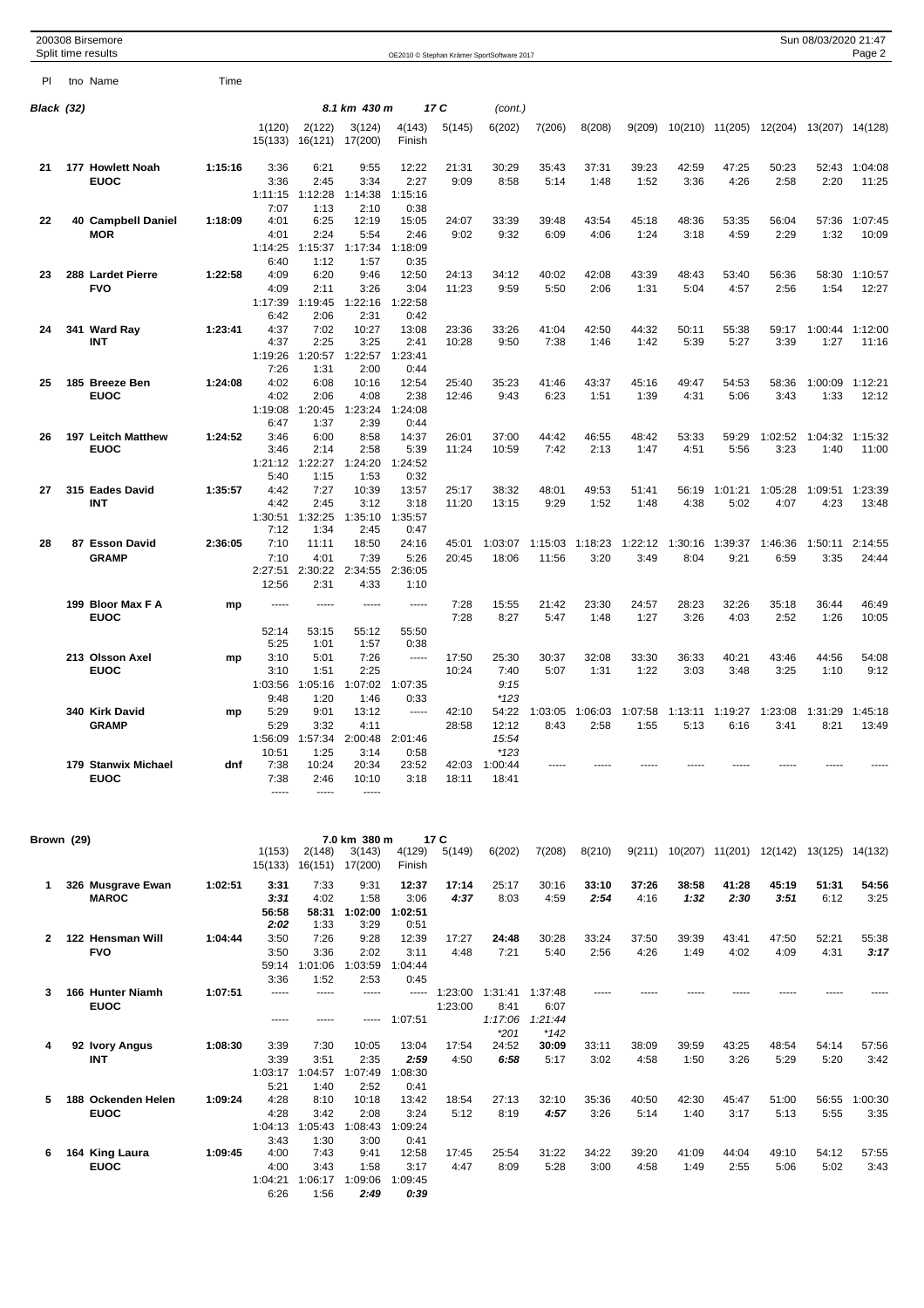|              | 200308 Birsemore<br>Split time results |         |                                         |                                         |                                          |                                          |                    | OE2010 © Stephan Krämer SportSoftware 2017 |                                    |                 |                 |                 |                 |                                                | Sun 08/03/2020 21:47    | Page 2           |
|--------------|----------------------------------------|---------|-----------------------------------------|-----------------------------------------|------------------------------------------|------------------------------------------|--------------------|--------------------------------------------|------------------------------------|-----------------|-----------------|-----------------|-----------------|------------------------------------------------|-------------------------|------------------|
| PI.          | tno Name                               | Time    |                                         |                                         |                                          |                                          |                    |                                            |                                    |                 |                 |                 |                 |                                                |                         |                  |
| Black (32)   |                                        |         |                                         |                                         | 8.1 km 430 m                             |                                          | 17 C               | (cont.)                                    |                                    |                 |                 |                 |                 |                                                |                         |                  |
|              |                                        |         | 1(120)<br>15(133)                       | 2(122)<br>16(121)                       | 3(124)<br>17(200)                        | 4(143)<br>Finish                         | 5(145)             | 6(202)                                     | 7(206)                             | 8(208)          | 9(209)          |                 | 10(210) 11(205) |                                                | 12(204) 13(207) 14(128) |                  |
| 21           | 177 Howlett Noah<br><b>EUOC</b>        | 1:15:16 | 3:36<br>3:36<br>1:11:15                 | 6:21<br>2:45<br>1:12:28                 | 9:55<br>3:34<br>1:14:38                  | 12:22<br>2:27<br>1:15:16                 | 21:31<br>9:09      | 30:29<br>8:58                              | 35:43<br>5:14                      | 37:31<br>1:48   | 39:23<br>1:52   | 42:59<br>3:36   | 47:25<br>4:26   | 50:23<br>2:58                                  | 52:43<br>2:20           | 1:04:08<br>11:25 |
| 22           | 40 Campbell Daniel<br><b>MOR</b>       | 1:18:09 | 7:07<br>4:01<br>4:01<br>1:14:25         | 1:13<br>6:25<br>2:24<br>1:15:37         | 2:10<br>12:19<br>5:54<br>1:17:34         | 0:38<br>15:05<br>2:46<br>1:18:09         | 24:07<br>9:02      | 33:39<br>9:32                              | 39:48<br>6:09                      | 43:54<br>4:06   | 45:18<br>1:24   | 48:36<br>3:18   | 53:35<br>4:59   | 56:04<br>2:29                                  | 57:36<br>1:32           | 1:07:45<br>10:09 |
| 23           | 288 Lardet Pierre<br><b>FVO</b>        | 1:22:58 | 6:40<br>4:09<br>4:09<br>1:17:39         | 1:12<br>6:20<br>2:11<br>1:19:45         | 1:57<br>9:46<br>3:26<br>1:22:16          | 0:35<br>12:50<br>3:04<br>1:22:58         | 24:13<br>11:23     | 34:12<br>9:59                              | 40:02<br>5:50                      | 42:08<br>2:06   | 43:39<br>1:31   | 48:43<br>5:04   | 53:40<br>4:57   | 56:36<br>2:56                                  | 58:30<br>1:54           | 1:10:57<br>12:27 |
| 24           | 341 Ward Ray<br>INT                    | 1:23:41 | 6:42<br>4:37<br>4:37<br>1:19:26         | 2:06<br>7:02<br>2:25<br>1:20:57         | 2:31<br>10:27<br>3:25<br>1:22:57         | 0:42<br>13:08<br>2:41<br>1:23:41         | 23:36<br>10:28     | 33:26<br>9:50                              | 41:04<br>7:38                      | 42:50<br>1:46   | 44:32<br>1:42   | 50:11<br>5:39   | 55:38<br>5:27   | 59:17<br>3:39                                  | 1:00:44<br>1:27         | 1:12:00<br>11:16 |
| 25           | 185 Breeze Ben<br><b>EUOC</b>          | 1:24:08 | 7:26<br>4:02<br>4:02<br>1:19:08<br>6:47 | 1:31<br>6:08<br>2:06<br>1:20:45<br>1:37 | 2:00<br>10:16<br>4:08<br>1:23:24<br>2:39 | 0:44<br>12:54<br>2:38<br>1:24:08<br>0:44 | 25:40<br>12:46     | 35:23<br>9:43                              | 41:46<br>6:23                      | 43:37<br>1:51   | 45:16<br>1:39   | 49:47<br>4:31   | 54:53<br>5:06   | 58:36<br>3:43                                  | 1:00:09<br>1:33         | 1:12:21<br>12:12 |
| 26           | 197 Leitch Matthew<br><b>EUOC</b>      | 1:24:52 | 3:46<br>3:46<br>1:21:12<br>5:40         | 6:00<br>2:14<br>1:22:27<br>1:15         | 8:58<br>2:58<br>1:24:20<br>1:53          | 14:37<br>5:39<br>1:24:52<br>0:32         | 26:01<br>11:24     | 37:00<br>10:59                             | 44:42<br>7:42                      | 46:55<br>2:13   | 48:42<br>1:47   | 53:33<br>4:51   | 59:29<br>5:56   | 1:02:52<br>3:23                                | 1:04:32<br>1:40         | 1:15:32<br>11:00 |
| 27           | 315 Eades David<br>INT                 | 1:35:57 | 4:42<br>4:42<br>1:30:51<br>7:12         | 7:27<br>2:45<br>1:32:25<br>1:34         | 10:39<br>3:12<br>1:35:10<br>2:45         | 13:57<br>3:18<br>1:35:57<br>0:47         | 25:17<br>11:20     | 38:32<br>13:15                             | 48:01<br>9:29                      | 49:53<br>1:52   | 51:41<br>1:48   | 56:19<br>4:38   | 1:01:21<br>5:02 | 1:05:28<br>4:07                                | 1:09:51<br>4:23         | 1:23:39<br>13:48 |
| 28           | 87 Esson David<br><b>GRAMP</b>         | 2:36:05 | 7:10<br>7:10<br>2:27:51<br>12:56        | 11:11<br>4:01<br>2:30:22<br>2:31        | 18:50<br>7:39<br>2:34:55<br>4:33         | 24:16<br>5:26<br>2:36:05<br>1:10         | 45:01<br>20:45     | 1:03:07<br>18:06                           | 1:15:03<br>11:56                   | 1:18:23<br>3:20 | 1:22:12<br>3:49 | 1:30:16<br>8:04 | 1:39:37<br>9:21 | 1:46:36<br>6:59                                | 1:50:11<br>3:35         | 2:14:55<br>24:44 |
|              | 199 Bloor Max F A<br><b>EUOC</b>       | mp      | -----<br>52:14                          | -----<br>53:15                          | -----<br>55:12                           | -----<br>55:50                           | 7:28<br>7:28       | 15:55<br>8:27                              | 21:42<br>5:47                      | 23:30<br>1:48   | 24:57<br>1:27   | 28:23<br>3:26   | 32:26<br>4:03   | 35:18<br>2:52                                  | 36:44<br>1:26           | 46:49<br>10:05   |
|              | 213 Olsson Axel<br><b>EUOC</b>         | mp      | 5:25<br>3:10<br>3:10<br>1:03:56         | 1:01<br>5:01<br>1:51<br>1:05:16         | 1:57<br>7:26<br>2:25<br>1:07:02          | 0:38<br>-----<br>1:07:35                 | 17:50<br>10:24     | 25:30<br>7:40<br>9:15                      | 30:37<br>5:07                      | 32:08<br>1:31   | 33:30<br>1:22   | 36:33<br>3:03   | 40:21<br>3:48   | 43:46<br>3:25                                  | 44:56<br>1:10           | 54:08<br>9:12    |
|              | 340 Kirk David<br><b>GRAMP</b>         | mp      | 9:48<br>5:29<br>5:29<br>1:56:09         | 1:20<br>9:01<br>3:32<br>1:57:34         | 1:46<br>13:12<br>4:11<br>2:00:48         | 0:33<br>-----<br>2:01:46                 | 42:10<br>28:58     | $*123$<br>54:22<br>12:12<br>15:54          | 1:03:05<br>8:43                    | 1:06:03<br>2:58 | 1:07:58<br>1:55 | 1:13:11<br>5:13 | 1:19:27<br>6:16 | 1:23:08<br>3:41                                | 1:31:29<br>8:21         | 1:45:18<br>13:49 |
|              | 179 Stanwix Michael<br><b>EUOC</b>     | dnf     | 10:51<br>7:38<br>7:38<br>1.1.1.1        | 1:25<br>10:24<br>2:46<br>-----          | 3:14<br>20:34<br>10:10<br>1.1.1.1        | 0:58<br>23:52<br>3:18                    | 42:03<br>18:11     | $*123$<br>1:00:44<br>18:41                 |                                    |                 |                 |                 |                 |                                                |                         |                  |
| Brown (29)   |                                        |         | 1(153)                                  | 2(148)<br>15(133) 16(151) 17(200)       | 7.0 km 380 m<br>3(143)                   | 4(129)<br>Finish                         | 17 C<br>5(149)     | 6(202)                                     | 7(208)                             | 8(210)          |                 |                 |                 | 9(211) 10(207) 11(201) 12(142) 13(125) 14(132) |                         |                  |
| 1            | 326 Musgrave Ewan<br><b>MAROC</b>      | 1:02:51 | 3:31<br>3:31<br>56:58                   | 7:33<br>4:02                            | 9:31<br>1:58<br>58:31 1:02:00            | 12:37<br>3:06<br>1:02:51                 | 17:14<br>4:37      | 25:17<br>8:03                              | 30:16<br>4:59                      | 33:10<br>2:54   | 37:26<br>4:16   | 38:58<br>1:32   | 41:28<br>2:30   | 45:19<br>3:51                                  | 51:31<br>6:12           | 54:56<br>3:25    |
| $\mathbf{2}$ | 122 Hensman Will<br><b>FVO</b>         | 1:04:44 | 2:02<br>3:50<br>3:50                    | 1:33<br>7:26<br>3:36<br>59:14 1:01:06   | 3:29<br>9:28<br>2:02<br>1:03:59          | 0:51<br>12:39<br>3:11<br>1:04:44         | 17:27<br>4:48      | 24:48<br>7:21                              | 30:28<br>5:40                      | 33:24<br>2:56   | 37:50<br>4:26   | 39:39<br>1:49   | 43:41<br>4:02   | 47:50<br>4:09                                  | 52:21<br>4:31           | 55:38<br>3:17    |
| 3            | 166 Hunter Niamh<br><b>EUOC</b>        | 1:07:51 | 3:36<br>-----<br>-----                  | 1:52<br>-----<br>-----                  | 2:53<br>-----<br>-----                   | 0:45<br>-----<br>1:07:51                 | 1:23:00<br>1:23:00 | 1:31:41<br>8:41<br>1:17:06<br>$*201$       | 1:37:48<br>6:07<br>1:21:44<br>*142 |                 |                 |                 |                 |                                                |                         |                  |
| 4            | 92 Ivory Angus<br>INT                  | 1:08:30 | 3:39<br>3:39<br>5:21                    | 7:30<br>3:51<br>1:03:17 1:04:57<br>1:40 | 10:05<br>2:35<br>1:07:49<br>2:52         | 13:04<br>2:59<br>1:08:30<br>0:41         | 17:54<br>4:50      | 24:52<br>6:58                              | 30:09<br>5:17                      | 33:11<br>3:02   | 38:09<br>4:58   | 39:59<br>1:50   | 43:25<br>3:26   | 48:54<br>5:29                                  | 54:14<br>5:20           | 57:56<br>3:42    |
| 5            | 188 Ockenden Helen<br><b>EUOC</b>      | 1:09:24 | 4:28<br>4:28<br>3:43                    | 8:10<br>3:42<br>1:04:13 1:05:43<br>1:30 | 10:18<br>2:08<br>1:08:43<br>3:00         | 13:42<br>3:24<br>1:09:24<br>0:41         | 18:54<br>5:12      | 27:13<br>8:19                              | 32:10<br>4:57                      | 35:36<br>3:26   | 40:50<br>5:14   | 42:30<br>1:40   | 45:47<br>3:17   | 51:00<br>5:13                                  | 56:55<br>5:55           | 1:00:30<br>3:35  |
| 6            | 164 King Laura<br><b>EUOC</b>          | 1:09:45 | 4:00<br>4:00<br>6:26                    | 7:43<br>3:43<br>1:04:21 1:06:17<br>1:56 | 9:41<br>1:58<br>1:09:06<br>2:49          | 12:58<br>3:17<br>1:09:45<br>0:39         | 17:45<br>4:47      | 25:54<br>8:09                              | 31:22<br>5:28                      | 34:22<br>3:00   | 39:20<br>4:58   | 41:09<br>1:49   | 44:04<br>2:55   | 49:10<br>5:06                                  | 54:12<br>5:02           | 57:55<br>3:43    |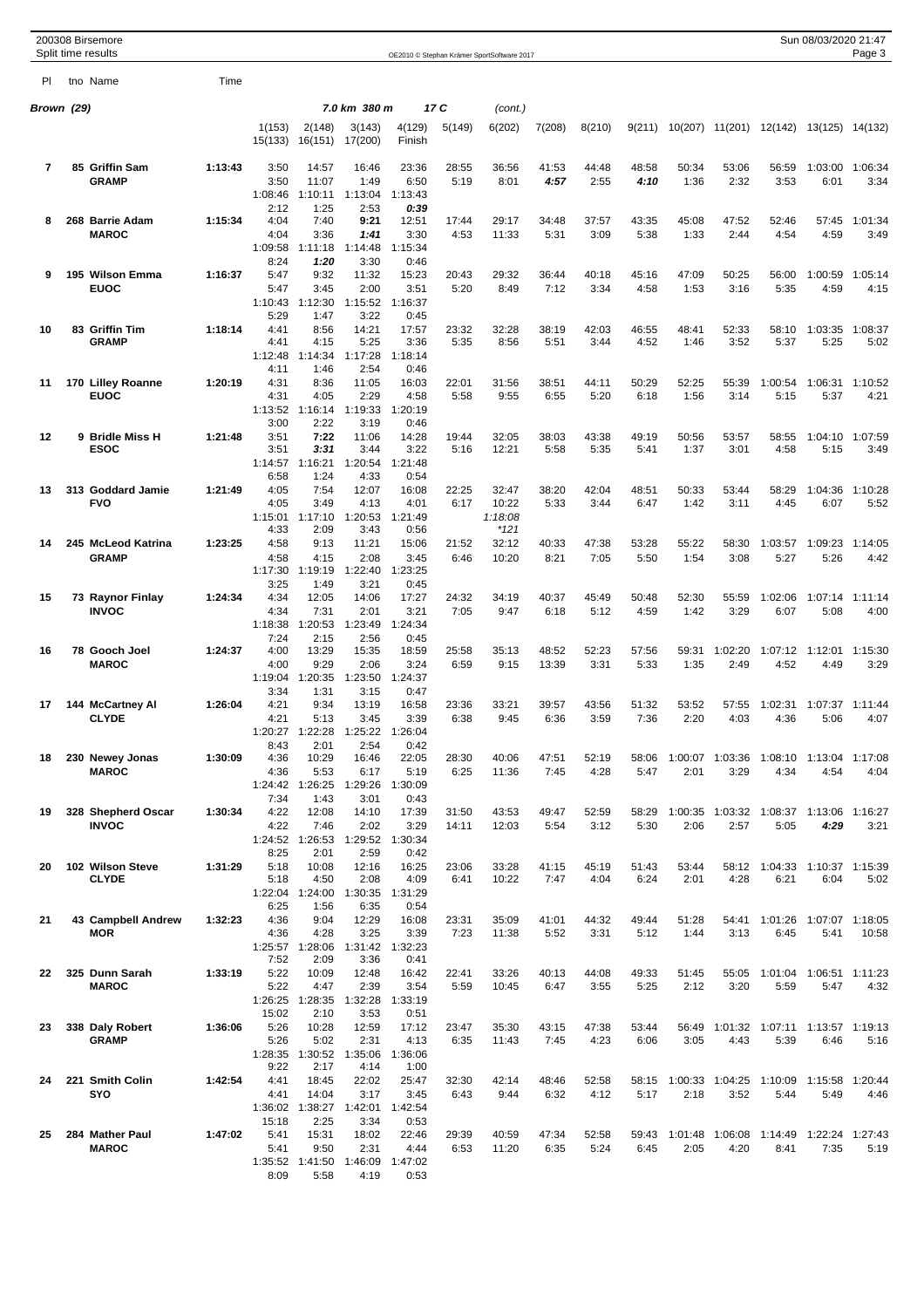|            | 200308 Birsemore<br>Split time results |         |                   |                         |                   |                  |               | OE2010 © Stephan Krämer SportSoftware 2017 |               |               |               |               |                         |                               | Sun 08/03/2020 21:47            | Page 3          |
|------------|----------------------------------------|---------|-------------------|-------------------------|-------------------|------------------|---------------|--------------------------------------------|---------------|---------------|---------------|---------------|-------------------------|-------------------------------|---------------------------------|-----------------|
| PI.        | tno Name                               | Time    |                   |                         |                   |                  |               |                                            |               |               |               |               |                         |                               |                                 |                 |
| Brown (29) |                                        |         |                   |                         | 7.0 km 380 m      |                  | 17 C          | (cont.)                                    |               |               |               |               |                         |                               |                                 |                 |
|            |                                        |         | 1(153)<br>15(133) | 2(148)<br>16(151)       | 3(143)<br>17(200) | 4(129)<br>Finish | 5(149)        | 6(202)                                     | 7(208)        | 8(210)        | 9(211)        | 10(207)       | 11(201)                 |                               | 12(142) 13(125) 14(132)         |                 |
| 7          | 85 Griffin Sam<br><b>GRAMP</b>         | 1:13:43 | 3:50<br>3:50      | 14:57<br>11:07          | 16:46<br>1:49     | 23:36<br>6:50    | 28:55<br>5:19 | 36:56<br>8:01                              | 41:53<br>4:57 | 44:48<br>2:55 | 48:58<br>4:10 | 50:34<br>1:36 | 53:06<br>2:32           | 56:59<br>3:53                 | 1:03:00<br>6:01                 | 1:06:34<br>3:34 |
|            |                                        |         | 1:08:46           | 1:10:11                 | 1:13:04           | 1:13:43          |               |                                            |               |               |               |               |                         |                               |                                 |                 |
| 8          | 268 Barrie Adam                        | 1:15:34 | 2:12<br>4:04      | 1:25<br>7:40            | 2:53<br>9:21      | 0:39<br>12:51    | 17:44         | 29:17                                      | 34:48         | 37:57         | 43:35         | 45:08         | 47:52                   | 52:46                         |                                 | 1:01:34         |
|            | <b>MAROC</b>                           |         | 4:04              | 3:36                    | 1:41              | 3:30             | 4:53          | 11:33                                      | 5:31          | 3:09          | 5:38          | 1:33          | 2:44                    | 4:54                          | 57:45<br>4:59                   | 3:49            |
|            |                                        |         | 1:09:58           | 1:11:18                 | 1:14:48           | 1:15:34          |               |                                            |               |               |               |               |                         |                               |                                 |                 |
| 9          | 195 Wilson Emma                        | 1:16:37 | 8:24<br>5:47      | 1:20<br>9:32            | 3:30<br>11:32     | 0:46<br>15:23    | 20:43         | 29:32                                      | 36:44         | 40:18         | 45:16         | 47:09         | 50:25                   | 56:00                         | 1:00:59                         | 1:05:14         |
|            | <b>EUOC</b>                            |         | 5:47              | 3:45                    | 2:00              | 3:51             | 5:20          | 8:49                                       | 7:12          | 3:34          | 4:58          | 1:53          | 3:16                    | 5:35                          | 4:59                            | 4:15            |
|            |                                        |         | 1:10:43<br>5:29   | 1:12:30<br>1:47         | 1:15:52<br>3:22   | 1:16:37          |               |                                            |               |               |               |               |                         |                               |                                 |                 |
| 10         | 83 Griffin Tim                         | 1:18:14 | 4:41              | 8:56                    | 14:21             | 0:45<br>17:57    | 23:32         | 32:28                                      | 38:19         | 42:03         | 46:55         | 48:41         | 52:33                   | 58:10                         | 1:03:35                         | 1:08:37         |
|            | <b>GRAMP</b>                           |         | 4:41              | 4:15                    | 5:25              | 3:36             | 5:35          | 8:56                                       | 5:51          | 3:44          | 4:52          | 1:46          | 3:52                    | 5:37                          | 5:25                            | 5:02            |
|            |                                        |         | 1:12:48<br>4:11   | 1:14:34<br>1:46         | 1:17:28<br>2:54   | 1:18:14<br>0:46  |               |                                            |               |               |               |               |                         |                               |                                 |                 |
| 11         | 170 Lilley Roanne                      | 1:20:19 | 4:31              | 8:36                    | 11:05             | 16:03            | 22:01         | 31:56                                      | 38:51         | 44:11         | 50:29         | 52:25         | 55:39                   | 1:00:54                       | 1:06:31                         | 1:10:52         |
|            | <b>EUOC</b>                            |         | 4:31<br>1:13:52   | 4:05<br>1:16:14         | 2:29<br>1:19:33   | 4:58<br>1:20:19  | 5:58          | 9:55                                       | 6:55          | 5:20          | 6:18          | 1:56          | 3:14                    | 5:15                          | 5:37                            | 4:21            |
|            |                                        |         | 3:00              | 2:22                    | 3:19              | 0:46             |               |                                            |               |               |               |               |                         |                               |                                 |                 |
| $12 \,$    | 9 Bridle Miss H<br><b>ESOC</b>         | 1:21:48 | 3:51<br>3:51      | 7:22<br>3:31            | 11:06<br>3:44     | 14:28<br>3:22    | 19:44<br>5:16 | 32:05<br>12:21                             | 38:03<br>5:58 | 43:38<br>5:35 | 49:19<br>5:41 | 50:56<br>1:37 | 53:57<br>3:01           | 58:55<br>4:58                 | 1:04:10<br>5:15                 | 1:07:59<br>3:49 |
|            |                                        |         | 1:14:57           | 1:16:21                 | 1:20:54           | 1:21:48          |               |                                            |               |               |               |               |                         |                               |                                 |                 |
|            |                                        |         | 6:58              | 1:24                    | 4:33              | 0:54             |               |                                            |               |               |               |               |                         |                               |                                 |                 |
| 13         | 313 Goddard Jamie<br><b>FVO</b>        | 1:21:49 | 4:05<br>4:05      | 7:54<br>3:49            | 12:07<br>4:13     | 16:08<br>4:01    | 22:25<br>6:17 | 32:47<br>10:22                             | 38:20<br>5:33 | 42:04<br>3:44 | 48:51<br>6:47 | 50:33<br>1:42 | 53:44<br>3:11           | 58:29<br>4:45                 | 1:04:36<br>6:07                 | 1:10:28<br>5:52 |
|            |                                        |         | 1:15:01           | 1:17:10                 | 1:20:53           | 1:21:49          |               | 1:18:08                                    |               |               |               |               |                         |                               |                                 |                 |
| 14         | 245 McLeod Katrina                     | 1:23:25 | 4:33<br>4:58      | 2:09<br>9:13            | 3:43<br>11:21     | 0:56<br>15:06    | 21:52         | *121<br>32:12                              | 40:33         | 47:38         | 53:28         | 55:22         | 58:30                   | 1:03:57                       | 1:09:23                         | 1:14:05         |
|            | <b>GRAMP</b>                           |         | 4:58              | 4:15                    | 2:08              | 3:45             | 6:46          | 10:20                                      | 8:21          | 7:05          | 5:50          | 1:54          | 3:08                    | 5:27                          | 5:26                            | 4:42            |
|            |                                        |         | 1:17:30           | 1:19:19                 | 1:22:40           | 1:23:25          |               |                                            |               |               |               |               |                         |                               |                                 |                 |
| 15         | 73 Raynor Finlay                       | 1:24:34 | 3:25<br>4:34      | 1:49<br>12:05           | 3:21<br>14:06     | 0:45<br>17:27    | 24:32         | 34:19                                      | 40:37         | 45:49         | 50:48         | 52:30         | 55:59                   | 1:02:06                       | 1:07:14                         | 1:11:14         |
|            | <b>INVOC</b>                           |         | 4:34              | 7:31                    | 2:01              | 3:21             | 7:05          | 9:47                                       | 6:18          | 5:12          | 4:59          | 1:42          | 3:29                    | 6:07                          | 5:08                            | 4:00            |
|            |                                        |         | 1:18:38<br>7:24   | 1:20:53<br>2:15         | 1:23:49<br>2:56   | 1:24:34<br>0:45  |               |                                            |               |               |               |               |                         |                               |                                 |                 |
| 16         | 78 Gooch Joel                          | 1:24:37 | 4:00              | 13:29                   | 15:35             | 18:59            | 25:58         | 35:13                                      | 48:52         | 52:23         | 57:56         | 59:31         | 1:02:20                 | 1:07:12                       | 1:12:01                         | 1:15:30         |
|            | <b>MAROC</b>                           |         | 4:00<br>1:19:04   | 9:29<br>1:20:35         | 2:06<br>1:23:50   | 3:24<br>1:24:37  | 6:59          | 9:15                                       | 13:39         | 3:31          | 5:33          | 1:35          | 2:49                    | 4:52                          | 4:49                            | 3:29            |
|            |                                        |         | 3:34              | 1:31                    | 3:15              | 0:47             |               |                                            |               |               |               |               |                         |                               |                                 |                 |
| 17         | 144 McCartney Al                       | 1:26:04 | 4:21              | 9:34                    | 13:19             | 16:58            | 23:36         | 33:21                                      | 39:57         | 43:56         | 51:32         | 53:52         | 57:55                   | 1:02:31                       | 1:07:37                         | 1:11:44         |
|            | <b>CLYDE</b>                           |         | 4:21              | 5:13<br>1:20:27 1:22:28 | 3:45<br>1:25:22   | 3:39<br>1:26:04  | 6:38          | 9:45                                       | 6:36          | 3:59          | 7:36          | 2:20          | 4:03                    | 4:36                          | 5:06                            | 4:07            |
|            |                                        |         | 8:43              | 2:01                    | 2:54              | 0:42             |               |                                            |               |               |               |               |                         |                               |                                 |                 |
| 18         | 230 Newey Jonas<br><b>MAROC</b>        | 1:30:09 | 4:36<br>4:36      | 10:29<br>5:53           | 16:46<br>6:17     | 22:05<br>5:19    | 28:30<br>6:25 | 40:06<br>11:36                             | 47:51<br>7:45 | 52:19<br>4:28 | 58:06<br>5:47 | 2:01          | 1:00:07 1:03:36<br>3:29 | 4:34                          | 1:08:10 1:13:04 1:17:08<br>4:54 | 4:04            |
|            |                                        |         |                   | 1:24:42 1:26:25         | 1:29:26           | 1:30:09          |               |                                            |               |               |               |               |                         |                               |                                 |                 |
| 19         | 328 Shepherd Oscar                     | 1:30:34 | 7:34<br>4:22      | 1:43<br>12:08           | 3:01<br>14:10     | 0:43<br>17:39    | 31:50         | 43:53                                      | 49:47         | 52:59         | 58:29         |               | 1:00:35 1:03:32         | 1:08:37                       | 1:13:06                         | 1:16:27         |
|            | <b>INVOC</b>                           |         | 4:22              | 7:46                    | 2:02              | 3:29             | 14:11         | 12:03                                      | 5:54          | 3:12          | 5:30          | 2:06          | 2:57                    | 5:05                          | 4:29                            | 3:21            |
|            |                                        |         | 8:25              | 1:24:52 1:26:53<br>2:01 | 1:29:52<br>2:59   | 1:30:34<br>0:42  |               |                                            |               |               |               |               |                         |                               |                                 |                 |
| 20         | 102 Wilson Steve                       | 1:31:29 | 5:18              | 10:08                   | 12:16             | 16:25            | 23:06         | 33:28                                      | 41:15         | 45:19         | 51:43         | 53:44         |                         | 58:12 1:04:33 1:10:37 1:15:39 |                                 |                 |
|            | <b>CLYDE</b>                           |         | 5:18              | 4:50                    | 2:08              | 4:09             | 6:41          | 10:22                                      | 7:47          | 4:04          | 6:24          | 2:01          | 4:28                    | 6:21                          | 6:04                            | 5:02            |
|            |                                        |         | 1:22:04<br>6:25   | 1:24:00<br>1:56         | 1:30:35<br>6:35   | 1:31:29<br>0:54  |               |                                            |               |               |               |               |                         |                               |                                 |                 |
| 21         | 43 Campbell Andrew                     | 1:32:23 | 4:36              | 9:04                    | 12:29             | 16:08            | 23:31         | 35:09                                      | 41:01         | 44:32         | 49:44         | 51:28         | 54:41                   | 1:01:26                       | 1:07:07 1:18:05                 |                 |
|            | MOR                                    |         | 4:36<br>1:25:57   | 4:28<br>1:28:06         | 3:25<br>1:31:42   | 3:39<br>1:32:23  | 7:23          | 11:38                                      | 5:52          | 3:31          | 5:12          | 1:44          | 3:13                    | 6:45                          | 5:41                            | 10:58           |
|            |                                        |         | 7:52              | 2:09                    | 3:36              | 0:41             |               |                                            |               |               |               |               |                         |                               |                                 |                 |
| 22         | 325 Dunn Sarah<br><b>MAROC</b>         | 1:33:19 | 5:22<br>5:22      | 10:09<br>4:47           | 12:48<br>2:39     | 16:42<br>3:54    | 22:41<br>5:59 | 33:26<br>10:45                             | 40:13<br>6:47 | 44:08<br>3:55 | 49:33<br>5:25 | 51:45<br>2:12 | 55:05<br>3:20           | 1:01:04<br>5:59               | 1:06:51 1:11:23<br>5:47         | 4:32            |
|            |                                        |         | 1:26:25           | 1:28:35                 | 1:32:28           | 1:33:19          |               |                                            |               |               |               |               |                         |                               |                                 |                 |
|            |                                        |         | 15:02             | 2:10                    | 3:53              | 0:51             |               |                                            |               |               |               |               |                         |                               |                                 |                 |
| 23         | 338 Daly Robert<br><b>GRAMP</b>        | 1:36:06 | 5:26<br>5:26      | 10:28<br>5:02           | 12:59<br>2:31     | 17:12<br>4:13    | 23:47<br>6:35 | 35:30<br>11:43                             | 43:15<br>7:45 | 47:38<br>4:23 | 53:44<br>6:06 | 56:49<br>3:05 | 1:01:32<br>4:43         | 1:07:11<br>5:39               | 1:13:57 1:19:13<br>6:46         | 5:16            |
|            |                                        |         | 1:28:35           | 1:30:52                 | 1:35:06           | 1:36:06          |               |                                            |               |               |               |               |                         |                               |                                 |                 |
| 24         | 221 Smith Colin                        | 1:42:54 | 9:22<br>4:41      | 2:17<br>18:45           | 4:14<br>22:02     | 1:00<br>25:47    | 32:30         | 42:14                                      | 48:46         | 52:58         | 58:15         |               | 1:00:33 1:04:25         | 1:10:09                       | 1:15:58                         | 1:20:44         |
|            | SYO                                    |         | 4:41              | 14:04                   | 3:17              | 3:45             | 6:43          | 9:44                                       | 6:32          | 4:12          | 5:17          | 2:18          | 3:52                    | 5:44                          | 5:49                            | 4:46            |
|            |                                        |         | 1:36:02           | 1:38:27                 | 1:42:01           | 1:42:54          |               |                                            |               |               |               |               |                         |                               |                                 |                 |
| 25         | 284 Mather Paul                        | 1:47:02 | 15:18<br>5:41     | 2:25<br>15:31           | 3:34<br>18:02     | 0:53<br>22:46    | 29:39         | 40:59                                      | 47:34         | 52:58         | 59:43         | 1:01:48       | 1:06:08                 | 1:14:49                       | 1:22:24                         | 1:27:43         |
|            | <b>MAROC</b>                           |         | 5:41              | 9:50                    | 2:31              | 4:44             | 6:53          | 11:20                                      | 6:35          | 5:24          | 6:45          | 2:05          | 4:20                    | 8:41                          | 7:35                            | 5:19            |
|            |                                        |         | 1:35:52<br>8:09   | 1:41:50<br>5:58         | 1:46:09<br>4:19   | 1:47:02<br>0:53  |               |                                            |               |               |               |               |                         |                               |                                 |                 |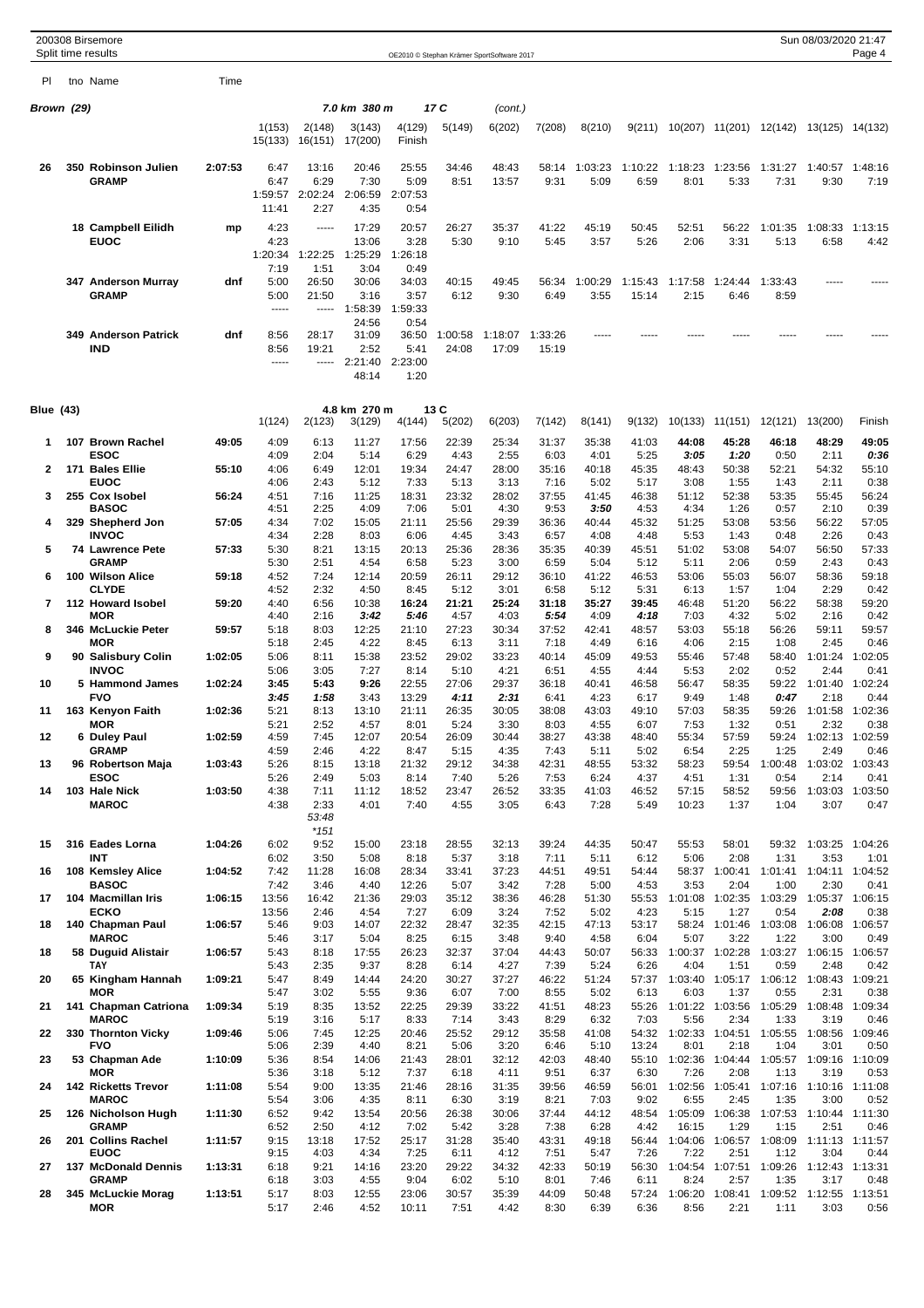|                  |     | 200308 Birsemore<br>Split time results   |         |                                  |                                  |                                            |                                          |                  | OE2010 © Stephan Krämer SportSoftware 2017 |                  |                 |                  |                 |                                 |                 | Sun 08/03/2020 21:47                            | Page 4          |
|------------------|-----|------------------------------------------|---------|----------------------------------|----------------------------------|--------------------------------------------|------------------------------------------|------------------|--------------------------------------------|------------------|-----------------|------------------|-----------------|---------------------------------|-----------------|-------------------------------------------------|-----------------|
| PI               |     | tno Name                                 | Time    |                                  |                                  |                                            |                                          |                  |                                            |                  |                 |                  |                 |                                 |                 |                                                 |                 |
| Brown (29)       |     |                                          |         |                                  |                                  | 7.0 km 380 m                               |                                          | 17 C             | (cont.)                                    |                  |                 |                  |                 |                                 |                 |                                                 |                 |
|                  |     |                                          |         | 1(153)<br>15(133)                | 2(148)<br>16(151)                | 3(143)<br>17(200)                          | 4(129)<br>Finish                         | 5(149)           | 6(202)                                     | 7(208)           | 8(210)          | 9(211)           |                 | 10(207) 11(201) 12(142)         |                 | 13(125) 14(132)                                 |                 |
| 26               |     | 350 Robinson Julien<br><b>GRAMP</b>      | 2:07:53 | 6:47<br>6:47<br>1:59:57<br>11:41 | 13:16<br>6:29<br>2:02:24<br>2:27 | 20:46<br>7:30<br>2:06:59<br>4:35           | 25:55<br>5:09<br>2:07:53<br>0:54         | 34:46<br>8:51    | 48:43<br>13:57                             | 58:14<br>9:31    | 1:03:23<br>5:09 | 1:10:22<br>6:59  | 1:18:23<br>8:01 | 1:23:56<br>5:33                 | 1:31:27<br>7:31 | 1:40:57<br>9:30                                 | 1:48:16<br>7:19 |
|                  |     | 18 Campbell Eilidh<br><b>EUOC</b>        | mp      | 4:23<br>4:23<br>1:20:34          | 1.1.1.1<br>1:22:25               | 17:29<br>13:06<br>1:25:29                  | 20:57<br>3:28<br>1:26:18                 | 26:27<br>5:30    | 35:37<br>9:10                              | 41:22<br>5:45    | 45:19<br>3:57   | 50:45<br>5:26    | 52:51<br>2:06   | 56:22<br>3:31                   | 1:01:35<br>5:13 | 1:08:33<br>6:58                                 | 1:13:15<br>4:42 |
|                  |     | 347 Anderson Murray<br><b>GRAMP</b>      | dnf     | 7:19<br>5:00<br>5:00<br>$\cdots$ | 1:51<br>26:50<br>21:50<br>-----  | 3:04<br>30:06<br>3:16<br>1:58:39           | 0:49<br>34:03<br>3:57<br>1:59:33         | 40:15<br>6:12    | 49:45<br>9:30                              | 56:34<br>6:49    | 1:00:29<br>3:55 | 1:15:43<br>15:14 | 1:17:58<br>2:15 | 1:24:44<br>6:46                 | 1:33:43<br>8:59 |                                                 |                 |
|                  | 349 | <b>Anderson Patrick</b><br><b>IND</b>    | dnf     | 8:56<br>8:56<br>-----            | 28:17<br>19:21<br>-----          | 24:56<br>31:09<br>2:52<br>2:21:40<br>48:14 | 0:54<br>36:50<br>5:41<br>2:23:00<br>1:20 | 1:00:58<br>24:08 | 1:18:07<br>17:09                           | 1:33:26<br>15:19 |                 |                  |                 |                                 |                 |                                                 |                 |
| <b>Blue</b> (43) |     |                                          |         | 1(124)                           | 2(123)                           | 4.8 km 270 m<br>3(129)                     | 4(144)                                   | 13 C<br>5(202)   | 6(203)                                     | 7(142)           | 8(141)          | 9(132)           | 10(133)         | 11(151)                         | 12(121)         | 13(200)                                         | Finish          |
| 1                |     | 107 Brown Rachel                         | 49:05   | 4:09                             | 6:13                             | 11:27                                      | 17:56                                    | 22:39            | 25:34                                      | 31:37            | 35:38           | 41:03            | 44:08           | 45:28                           | 46:18           | 48:29                                           | 49:05           |
| 2                |     | <b>ESOC</b><br>171 Bales Ellie           | 55:10   | 4:09<br>4:06                     | 2:04<br>6:49                     | 5:14<br>12:01                              | 6:29<br>19:34                            | 4:43<br>24:47    | 2:55<br>28:00                              | 6:03<br>35:16    | 4:01<br>40:18   | 5:25<br>45:35    | 3:05<br>48:43   | 1:20<br>50:38                   | 0:50<br>52:21   | 2:11<br>54:32                                   | 0:36<br>55:10   |
| 3                |     | <b>EUOC</b><br>255 Cox Isobel            | 56:24   | 4:06<br>4:51                     | 2:43<br>7:16                     | 5:12<br>11:25                              | 7:33<br>18:31                            | 5:13<br>23:32    | 3:13<br>28:02                              | 7:16<br>37:55    | 5:02<br>41:45   | 5:17<br>46:38    | 3:08<br>51:12   | 1:55<br>52:38                   | 1:43<br>53:35   | 2:11<br>55:45                                   | 0:38<br>56:24   |
|                  |     | <b>BASOC</b>                             |         | 4:51                             | 2:25                             | 4:09                                       | 7:06                                     | 5:01             | 4:30                                       | 9:53             | 3:50            | 4:53             | 4:34            | 1:26                            | 0:57            | 2:10                                            | 0:39            |
| 4                |     | 329 Shepherd Jon<br><b>INVOC</b>         | 57:05   | 4:34<br>4:34                     | 7:02<br>2:28                     | 15:05<br>8:03                              | 21:11<br>6:06                            | 25:56<br>4:45    | 29:39<br>3:43                              | 36:36<br>6:57    | 40:44<br>4:08   | 45:32<br>4:48    | 51:25<br>5:53   | 53:08<br>1:43                   | 53:56<br>0:48   | 56:22<br>2:26                                   | 57:05<br>0:43   |
| 5                |     | 74 Lawrence Pete<br><b>GRAMP</b>         | 57:33   | 5:30<br>5:30                     | 8:21<br>2:51                     | 13:15<br>4:54                              | 20:13                                    | 25:36<br>5:23    | 28:36                                      | 35:35            | 40:39           | 45:51            | 51:02           | 53:08<br>2:06                   | 54:07<br>0:59   | 56:50<br>2:43                                   | 57:33<br>0:43   |
| 6                |     | 100 Wilson Alice                         | 59:18   | 4:52                             | 7:24                             | 12:14                                      | 6:58<br>20:59                            | 26:11            | 3:00<br>29:12                              | 6:59<br>36:10    | 5:04<br>41:22   | 5:12<br>46:53    | 5:11<br>53:06   | 55:03                           | 56:07           | 58:36                                           | 59:18           |
|                  |     | <b>CLYDE</b>                             |         | 4:52                             | 2:32                             | 4:50                                       | 8:45                                     | 5:12             | 3:01                                       | 6:58             | 5:12            | 5:31             | 6:13            | 1:57                            | 1:04            | 2:29                                            | 0:42            |
| 7                |     | 112 Howard Isobel<br><b>MOR</b>          | 59:20   | 4:40<br>4:40                     | 6:56<br>2:16                     | 10:38<br>3:42                              | 16:24<br>5.46                            | 21:21<br>4:57    | 25:24<br>4:03                              | 31:18<br>5.54    | 35:27<br>4:09   | 39:45<br>4:18    | 46:48<br>7:03   | 51:20<br>4:32                   | 56:22<br>5:02   | 58:38<br>2:16                                   | 59:20<br>0:42   |
| 8                |     | 346 McLuckie Peter                       | 59:57   | 5:18                             | 8:03                             | 12:25                                      | 21:10                                    | 27:23            | 30:34                                      | 37:52            | 42:41           | 48:57            | 53:03           | 55:18                           | 56:26           | 59:11                                           | 59:57           |
| 9                |     | <b>MOR</b><br>90 Salisbury Colin         | 1:02:05 | 5:18<br>5:06                     | 2:45<br>8:11                     | 4:22<br>15:38                              | 8:45<br>23:52                            | 6:13<br>29:02    | 3:11<br>33:23                              | 7:18<br>40:14    | 4:49<br>45:09   | 6:16<br>49:53    | 4:06<br>55:46   | 2:15<br>57:48                   | 1:08<br>58:40   | 2:45<br>1:01:24                                 | 0:46<br>1:02:05 |
| 10               |     | <b>INVOC</b><br>5 Hammond James          | 1:02:24 | 5:06<br>3:45                     | 3:05<br>5:43                     | 7:27<br>9:26                               | 8:14<br>22:55                            | 5:10<br>27:06    | 4:21<br>29:37                              | 6:51<br>36:18    | 4:55<br>40:41   | 4:44<br>46:58    | 5:53<br>56:47   | 2:02<br>58:35                   | 0:52<br>59:22   | 2:44<br>1:01:40                                 | 0:41<br>1:02:24 |
| 11               |     | <b>FVO</b><br>163 Kenyon Faith           | 1:02:36 | 3:45<br>5:21                     | 1:58<br>8:13                     | 3:43<br>13:10                              | 13:29<br>21:11                           | 4:11<br>26:35    | 2:31<br>30:05                              | 6:41<br>38:08    | 4:23<br>43:03   | 6:17<br>49:10    | 9:49<br>57:03   | 1:48<br>58:35                   | 0:47<br>59:26   | 2:18<br>1:01:58                                 | 0:44<br>1:02:36 |
|                  |     | <b>MOR</b>                               |         | 5:21                             | 2:52                             | 4:57                                       | 8:01                                     | 5:24             | 3:30                                       | 8:03             | 4:55            | 6:07             | 7:53            | 1:32                            | 0:51            | 2:32                                            | 0:38            |
| 12               |     | 6 Duley Paul<br><b>GRAMP</b>             | 1:02:59 | 4:59<br>4:59                     | 7:45<br>2:46                     | 12:07<br>4:22                              | 20:54<br>8:47                            | 26:09<br>5:15    | 30:44<br>4:35                              | 38:27<br>7:43    | 43:38<br>5:11   | 48:40<br>5:02    | 55:34<br>6:54   | 57:59<br>2:25                   | 59:24<br>1:25   | 1:02:13<br>2:49                                 | 1:02:59<br>0:46 |
| 13               |     | 96 Robertson Maja                        | 1:03:43 | 5:26                             | 8:15                             | 13:18                                      | 21:32                                    | 29:12            | 34:38                                      | 42:31            | 48:55           | 53:32            | 58:23           | 59:54                           | 1:00:48         | 1:03:02                                         | 1:03:43         |
| 14               |     | <b>ESOC</b><br>103 Hale Nick             | 1:03:50 | 5:26<br>4:38                     | 2:49<br>7:11                     | 5:03<br>11:12                              | 8:14<br>18:52                            | 7:40<br>23:47    | 5:26<br>26:52                              | 7:53<br>33:35    | 6:24<br>41:03   | 4:37<br>46:52    | 4:51<br>57:15   | 1:31<br>58:52                   | 0:54<br>59:56   | 2:14<br>1:03:03                                 | 0:41<br>1:03:50 |
|                  |     | <b>MAROC</b>                             |         | 4:38                             | 2:33<br>53:48<br>$*151$          | 4:01                                       | 7:40                                     | 4:55             | 3:05                                       | 6:43             | 7:28            | 5:49             | 10:23           | 1:37                            | 1:04            | 3:07                                            | 0:47            |
| 15               |     | 316 Eades Lorna                          | 1:04:26 | 6:02                             | 9:52                             | 15:00                                      | 23:18                                    | 28:55            | 32:13                                      | 39:24            | 44:35           | 50:47            | 55:53           | 58:01                           | 59:32           | 1:03:25                                         | 1:04:26         |
| 16               |     | <b>INT</b><br>108 Kemsley Alice          | 1:04:52 | 6:02<br>7:42                     | 3:50<br>11:28                    | 5:08<br>16:08                              | 8:18<br>28:34                            | 5:37<br>33:41    | 3:18<br>37:23                              | 7:11<br>44:51    | 5:11<br>49:51   | 6:12<br>54:44    | 5:06            | 2:08<br>58:37 1:00:41           | 1:31<br>1:01:41 | 3:53<br>1:04:11                                 | 1:01<br>1:04:52 |
| 17               |     | <b>BASOC</b><br>104 Macmillan Iris       | 1:06:15 | 7:42<br>13:56                    | 3:46<br>16:42                    | 4:40<br>21:36                              | 12:26<br>29:03                           | 5:07<br>35:12    | 3:42<br>38:36                              | 7:28<br>46:28    | 5:00<br>51:30   | 4:53<br>55:53    | 3:53            | 2:04<br>1:01:08 1:02:35         | 1:00<br>1:03:29 | 2:30<br>1:05:37 1:06:15                         | 0:41            |
|                  |     | <b>ECKO</b>                              |         | 13:56                            | 2:46                             | 4:54                                       | 7:27                                     | 6:09             | 3:24                                       | 7:52             | 5:02            | 4:23             | 5:15            | 1:27                            | 0:54            | 2:08                                            | 0:38            |
| 18               |     | 140 Chapman Paul<br><b>MAROC</b>         | 1:06:57 | 5:46<br>5:46                     | 9:03<br>3:17                     | 14:07<br>5:04                              | 22:32<br>8:25                            | 28:47<br>6:15    | 32:35<br>3:48                              | 42:15<br>9:40    | 47:13<br>4:58   | 53:17<br>6:04    | 5:07            | 58:24 1:01:46<br>3:22           | 1:03:08<br>1:22 | 1:06:08<br>3:00                                 | 1:06:57<br>0:49 |
| 18               |     | 58 Duguid Alistair<br>TAY                | 1:06:57 | 5:43<br>5:43                     | 8:18<br>2:35                     | 17:55<br>9:37                              | 26:23<br>8:28                            | 32:37<br>6:14    | 37:04<br>4:27                              | 44:43<br>7:39    | 50:07<br>5:24   | 56:33<br>6:26    | 4:04            | 1:00:37 1:02:28<br>1:51         | 0:59            | 1:03:27 1:06:15 1:06:57<br>2:48                 | 0:42            |
| 20               |     | 65 Kingham Hannah<br><b>MOR</b>          | 1:09:21 | 5:47<br>5:47                     | 8:49<br>3:02                     | 14:44<br>5:55                              | 24:20<br>9:36                            | 30:27<br>6:07    | 37:27<br>7:00                              | 46:22<br>8:55    | 51:24<br>5:02   | 57:37<br>6:13    | 6:03            | 1:37                            | 0:55            | 1:03:40 1:05:17 1:06:12 1:08:43 1:09:21<br>2:31 | 0:38            |
| 21               |     | 141 Chapman Catriona<br><b>MAROC</b>     | 1:09:34 | 5:19<br>5:19                     | 8:35<br>3:16                     | 13:52<br>5:17                              | 22:25<br>8:33                            | 29:39<br>7:14    | 33:22<br>3:43                              | 41:51<br>8:29    | 48:23<br>6:32   | 55:26<br>7:03    | 5:56            | 1:01:22 1:03:56<br>2:34         | 1:05:29<br>1:33 | 1:08:48<br>3:19                                 | 1:09:34<br>0:46 |
| 22               |     | 330 Thornton Vicky<br><b>FVO</b>         | 1:09:46 | 5:06<br>5:06                     | 7:45<br>2:39                     | 12:25<br>4:40                              | 20:46<br>8:21                            | 25:52<br>5:06    | 29:12<br>3:20                              | 35:58<br>6:46    | 41:08<br>5:10   | 54:32<br>13:24   | 8:01            | 1:02:33 1:04:51<br>2:18         | 1:05:55<br>1:04 | 1:08:56<br>3:01                                 | 1:09:46<br>0:50 |
| 23               |     | 53 Chapman Ade                           | 1:10:09 | 5:36                             | 8:54                             | 14:06                                      | 21:43                                    | 28:01            | 32:12                                      | 42:03            | 48:40           | 55:10            | 1:02:36         | 1:04:44                         | 1:05:57         | 1:09:16                                         | 1:10:09         |
| 24               |     | <b>MOR</b><br><b>142 Ricketts Trevor</b> | 1:11:08 | 5:36<br>5:54                     | 3:18<br>9:00                     | 5:12<br>13:35                              | 7:37<br>21:46                            | 6:18<br>28:16    | 4:11<br>31:35                              | 9:51<br>39:56    | 6:37<br>46:59   | 6:30<br>56:01    | 7:26<br>1:02:56 | 2:08<br>1:05:41                 | 1:13<br>1:07:16 | 3:19<br>1:10:16                                 | 0:53<br>1:11:08 |
| 25               |     | <b>MAROC</b><br>126 Nicholson Hugh       | 1:11:30 | 5:54<br>6:52                     | 3:06<br>9:42                     | 4:35<br>13:54                              | 8:11<br>20:56                            | 6:30<br>26:38    | 3:19<br>30:06                              | 8:21<br>37:44    | 7:03<br>44:12   | 9:02<br>48:54    | 6:55<br>1:05:09 | 2:45<br>1:06:38                 | 1:35<br>1:07:53 | 3:00<br>1:10:44                                 | 0:52<br>1:11:30 |
|                  |     | <b>GRAMP</b>                             |         | 6:52                             | 2:50                             | 4:12                                       | 7:02                                     | 5:42             | 3:28                                       | 7:38             | 6:28            | 4:42             | 16:15           | 1:29                            | 1:15            | 2:51                                            | 0:46            |
| 26               |     | 201 Collins Rachel<br><b>EUOC</b>        | 1:11:57 | 9:15<br>9:15                     | 13:18<br>4:03                    | 17:52<br>4:34                              | 25:17<br>7:25                            | 31:28<br>6:11    | 35:40<br>4:12                              | 43:31<br>7:51    | 49:18<br>5:47   | 56:44<br>7:26    | 7:22            | 1:04:06 1:06:57 1:08:09<br>2:51 | 1:12            | 1:11:13 1:11:57<br>3:04                         | 0:44            |
| 27               |     | 137 McDonald Dennis                      | 1:13:31 | 6:18                             | 9:21                             | 14:16                                      | 23:20                                    | 29:22            | 34:32                                      | 42:33            | 50:19           | 56:30            |                 | 1:04:54 1:07:51                 | 1:09:26         | 1:12:43 1:13:31                                 |                 |
| 28               |     | <b>GRAMP</b><br>345 McLuckie Morag       | 1:13:51 | 6:18<br>5:17                     | 3:03<br>8:03                     | 4:55<br>12:55                              | 9:04<br>23:06                            | 6:02<br>30:57    | 5:10<br>35:39                              | 8:01<br>44:09    | 7:46<br>50:48   | 6:11<br>57:24    | 8:24            | 2:57                            | 1:35            | 3:17<br>1:06:20 1:08:41 1:09:52 1:12:55 1:13:51 | 0:48            |
|                  |     | <b>MOR</b>                               |         | 5:17                             | 2:46                             | 4:52                                       | 10:11                                    | 7:51             | 4:42                                       | 8:30             | 6:39            | 6:36             | 8:56            | 2:21                            | 1:11            | 3:03                                            | 0:56            |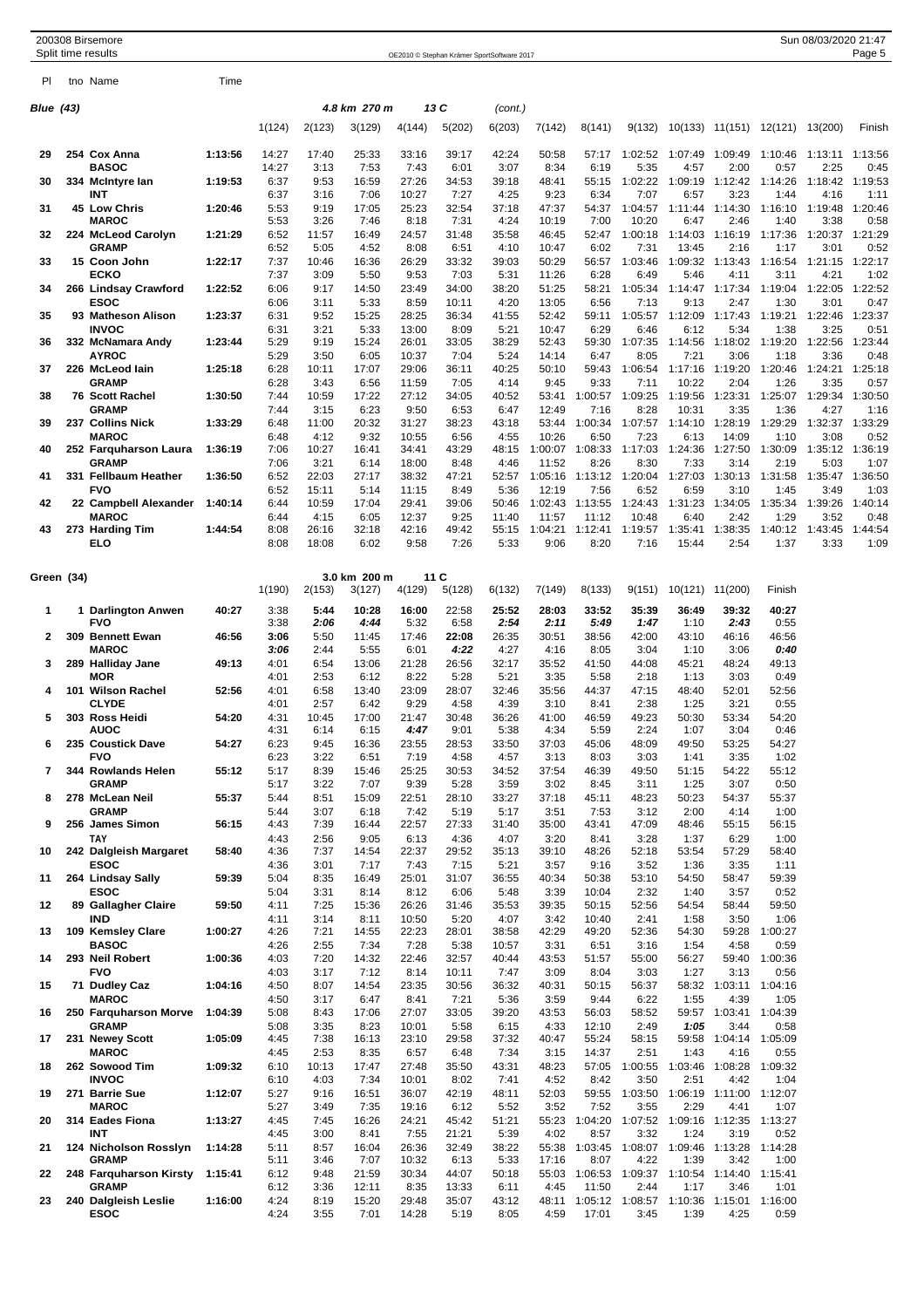|            | 200308 Birsemore<br>Split time results |         |               |                |                        |                |                | OE2010 © Stephan Krämer SportSoftware 2017 |                  |                                               |                  |                  |                               |                 | Sun 08/03/2020 21:47 | Page 5          |
|------------|----------------------------------------|---------|---------------|----------------|------------------------|----------------|----------------|--------------------------------------------|------------------|-----------------------------------------------|------------------|------------------|-------------------------------|-----------------|----------------------|-----------------|
| PI.        | tno Name                               | Time    |               |                |                        |                |                |                                            |                  |                                               |                  |                  |                               |                 |                      |                 |
|            |                                        |         |               |                |                        |                |                |                                            |                  |                                               |                  |                  |                               |                 |                      |                 |
| Blue (43)  |                                        |         | 1(124)        | 2(123)         | 4.8 km 270 m<br>3(129) | 4(144)         | 13 C<br>5(202) | (cont.)<br>6(203)                          | 7(142)           | 8(141)                                        | 9(132)           |                  | 10(133) 11(151) 12(121)       |                 | 13(200)              | Finish          |
| 29         | 254 Cox Anna                           | 1:13:56 | 14:27         | 17:40          | 25:33                  | 33:16          | 39:17          | 42:24                                      | 50:58            | 57:17                                         | 1:02:52          | 1:07:49          | 1:09:49                       | 1:10:46         | 1:13:11              | 1:13:56         |
| 30         | <b>BASOC</b><br>334 McIntyre lan       | 1:19:53 | 14:27<br>6:37 | 3:13<br>9:53   | 7:53<br>16:59          | 7:43<br>27:26  | 6:01<br>34:53  | 3:07<br>39:18                              | 8:34<br>48:41    | 6:19<br>55:15                                 | 5:35<br>1:02:22  | 4:57<br>1:09:19  | 2:00<br>1:12:42               | 0:57<br>1:14:26 | 2:25<br>1:18:42      | 0:45<br>1:19:53 |
| 31         | INT<br>45 Low Chris                    | 1:20:46 | 6:37<br>5:53  | 3:16<br>9:19   | 7:06<br>17:05          | 10:27<br>25:23 | 7:27<br>32:54  | 4:25<br>37:18                              | 9:23<br>47:37    | 6:34<br>54:37                                 | 7:07<br>1:04:57  | 6:57<br>1:11:44  | 3:23<br>1:14:30               | 1:44<br>1:16:10 | 4:16<br>1:19:48      | 1:11<br>1:20:46 |
| 32         | <b>MAROC</b><br>224 McLeod Carolyn     | 1:21:29 | 5:53<br>6:52  | 3:26<br>11:57  | 7:46<br>16:49          | 8:18<br>24:57  | 7:31<br>31:48  | 4:24<br>35:58                              | 10:19<br>46:45   | 7:00<br>52:47                                 | 10:20<br>1:00:18 | 6:47<br>1:14:03  | 2:46<br>1:16:19               | 1:40<br>1:17:36 | 3:38<br>1:20:37      | 0:58<br>1:21:29 |
|            | <b>GRAMP</b>                           |         | 6:52          | 5:05           | 4:52                   | 8:08           | 6:51           | 4:10                                       | 10:47            | 6:02                                          | 7:31             | 13:45            | 2:16                          | 1:17            | 3:01                 | 0:52            |
| 33         | 15 Coon John<br>ECKO                   | 1:22:17 | 7:37<br>7:37  | 10:46<br>3:09  | 16:36<br>5:50          | 26:29<br>9:53  | 33:32<br>7:03  | 39:03<br>5:31                              | 50:29<br>11:26   | 56:57<br>6:28                                 | 1:03:46<br>6:49  | 1:09:32<br>5:46  | 1:13:43<br>4:11               | 1:16:54<br>3:11 | 1:21:15<br>4:21      | 1:22:17<br>1:02 |
| 34         | 266 Lindsay Crawford<br><b>ESOC</b>    | 1:22:52 | 6:06<br>6:06  | 9:17<br>3:11   | 14:50<br>5:33          | 23:49<br>8:59  | 34:00<br>10:11 | 38:20<br>4:20                              | 51:25<br>13:05   | 58:21<br>6:56                                 | 1:05:34<br>7:13  | 1:14:47<br>9:13  | 1:17:34<br>2:47               | 1:19:04<br>1:30 | 1:22:05<br>3:01      | 1:22:52<br>0:47 |
| 35         | 93 Matheson Alison                     | 1:23:37 | 6:31          | 9:52           | 15:25                  | 28:25          | 36:34          | 41:55                                      | 52:42            | 59:11                                         | 1:05:57          | 1:12:09          | 1:17:43                       | 1:19:21         | 1:22:46              | 1:23:37         |
| 36         | <b>INVOC</b><br>332 McNamara Andy      | 1:23:44 | 6:31<br>5:29  | 3:21<br>9:19   | 5:33<br>15:24          | 13:00<br>26:01 | 8:09<br>33:05  | 5:21<br>38:29                              | 10:47<br>52:43   | 6:29<br>59:30                                 | 6:46<br>1:07:35  | 6:12<br>1:14:56  | 5:34<br>1:18:02               | 1:38<br>1:19:20 | 3:25<br>1:22:56      | 0:51<br>1:23:44 |
| 37         | <b>AYROC</b><br>226 McLeod lain        | 1:25:18 | 5:29<br>6:28  | 3:50<br>10:11  | 6:05<br>17:07          | 10:37<br>29:06 | 7:04<br>36:11  | 5:24<br>40:25                              | 14:14<br>50:10   | 6:47<br>59:43                                 | 8:05<br>1:06:54  | 7:21<br>1:17:16  | 3:06<br>1:19:20               | 1:18<br>1:20:46 | 3:36<br>1:24:21      | 0:48<br>1:25:18 |
| 38         | <b>GRAMP</b><br>76 Scott Rachel        | 1:30:50 | 6:28<br>7:44  | 3:43<br>10:59  | 6:56<br>17:22          | 11:59<br>27:12 | 7:05<br>34:05  | 4:14<br>40:52                              | 9:45<br>53:41    | 9:33<br>1:00:57                               | 7:11<br>1:09:25  | 10:22<br>1:19:56 | 2:04<br>1:23:31               | 1:26<br>1:25:07 | 3:35<br>1:29:34      | 0:57<br>1:30:50 |
|            | <b>GRAMP</b>                           |         | 7:44          | 3:15           | 6:23                   | 9:50           | 6:53           | 6:47                                       | 12:49            | 7:16                                          | 8:28             | 10:31            | 3:35                          | 1:36            | 4:27                 | 1:16            |
| 39         | 237 Collins Nick<br><b>MAROC</b>       | 1:33:29 | 6:48<br>6:48  | 11:00<br>4:12  | 20:32<br>9:32          | 31:27<br>10:55 | 38:23<br>6:56  | 43:18<br>4:55                              | 53:44<br>10:26   | 1:00:34<br>6:50                               | 1:07:57<br>7:23  | 1:14:10<br>6:13  | 1:28:19<br>14:09              | 1:29:29<br>1:10 | 1:32:37<br>3:08      | 1:33:29<br>0:52 |
| 40         | 252 Farquharson Laura<br><b>GRAMP</b>  | 1:36:19 | 7:06<br>7:06  | 10:27<br>3:21  | 16:41<br>6:14          | 34:41<br>18:00 | 43:29<br>8:48  | 48:15<br>4:46                              | 1:00:07<br>11:52 | 1:08:33<br>8:26                               | 1:17:03<br>8:30  | 1:24:36<br>7:33  | 1:27:50<br>3:14               | 1:30:09<br>2:19 | 1:35:12<br>5:03      | 1:36:19<br>1:07 |
| 41         | 331 Fellbaum Heather                   | 1:36:50 | 6:52          | 22:03          | 27:17                  | 38:32          | 47:21          | 52:57                                      | 1:05:16          | 1:13:12                                       | 1:20:04          | 1:27:03          | 1:30:13                       | 1:31:58         | 1:35:47              | 1:36:50         |
| 42         | <b>FVO</b><br>22 Campbell Alexander    | 1:40:14 | 6:52<br>6:44  | 15:11<br>10:59 | 5:14<br>17:04          | 11:15<br>29:41 | 8:49<br>39:06  | 5:36<br>50:46                              | 12:19<br>1:02:43 | 7:56<br>1:13:55                               | 6:52<br>1:24:43  | 6:59<br>1:31:23  | 3:10<br>1:34:05               | 1:45<br>1:35:34 | 3:49<br>1:39:26      | 1:03<br>1:40:14 |
| 43         | <b>MAROC</b><br>273 Harding Tim        | 1:44:54 | 6:44<br>8:08  | 4:15<br>26:16  | 6:05<br>32:18          | 12:37<br>42:16 | 9:25<br>49:42  | 11:40<br>55:15                             | 11:57<br>1:04:21 | 11:12<br>1:12:41                              | 10:48<br>1:19:57 | 6:40<br>1:35:41  | 2:42<br>1:38:35               | 1:29<br>1:40:12 | 3:52<br>1:43:45      | 0:48<br>1:44:54 |
|            | ELO                                    |         | 8:08          | 18:08          | 6:02                   | 9:58           | 7:26           | 5:33                                       | 9:06             | 8:20                                          | 7:16             | 15:44            | 2:54                          | 1:37            | 3:33                 | 1:09            |
| Green (34) |                                        |         |               |                | 3.0 km 200 m           |                | 11 C           |                                            |                  |                                               |                  |                  |                               |                 |                      |                 |
|            |                                        |         | 1(190)        | 2(153)         | 3(127)                 | 4(129)         | 5(128)         | 6(132)                                     | 7(149)           | 8(133)                                        | 9(151)           | 10(121)          | 11(200)                       | Finish          |                      |                 |
| 1          | 1 Darlington Anwen<br><b>FVO</b>       | 40:27   | 3:38<br>3:38  | 5:44<br>2:06   | 10:28<br>4:44          | 16:00<br>5:32  | 22:58<br>6:58  | 25:52<br>2:54                              | 28:03<br>2:11    | 33:52<br>5:49                                 | 35:39<br>1:47    | 36:49<br>1:10    | 39:32<br>2:43                 | 40:27<br>0:55   |                      |                 |
| 2          | 309 Bennett Ewan<br><b>MAROC</b>       | 46:56   | 3:06<br>3:06  | 5:50<br>2:44   | 11:45<br>5:55          | 17:46<br>6:01  | 22:08<br>4:22  | 26:35<br>4:27                              | 30:51<br>4:16    | 38:56<br>8:05                                 | 42:00<br>3:04    | 43:10<br>1:10    | 46:16<br>3:06                 | 46:56<br>0:40   |                      |                 |
| 3          | 289 Halliday Jane<br>MOR               | 49:13   | 4:01<br>4:01  | 6:54<br>2:53   | 13:06<br>6:12          | 21:28<br>8:22  | 26:56<br>5:28  | 32:17<br>5:21                              | 35:52<br>3:35    | 41:50<br>5:58                                 | 44:08<br>2:18    | 45:21<br>1:13    | 48:24<br>3:03                 | 49:13<br>0:49   |                      |                 |
| 4          | 101 Wilson Rachel                      | 52:56   | 4:01          | 6:58           | 13:40                  | 23:09          | 28:07          | 32:46                                      | 35:56            | 44:37                                         | 47:15            | 48:40            | 52:01                         | 52:56           |                      |                 |
| 5          | <b>CLYDE</b><br>303 Ross Heidi         | 54:20   | 4:01<br>4:31  | 2:57<br>10:45  | 6:42<br>17:00          | 9:29<br>21:47  | 4:58<br>30:48  | 4:39<br>36:26                              | 3:10<br>41:00    | 8:41<br>46:59                                 | 2:38<br>49:23    | 1:25<br>50:30    | 3:21<br>53:34                 | 0:55<br>54:20   |                      |                 |
| 6          | AUOG<br>235 Coustick Dave              | 54:27   | 4:31<br>6:23  | 6:14<br>9:45   | 6:15<br>16:36          | 4:47<br>23:55  | 9:01<br>28:53  | 5:38<br>33:50                              | 4:34<br>37:03    | 5:59<br>45:06                                 | 2:24<br>48:09    | 1:07<br>49:50    | 3:04<br>53:25                 | 0:46<br>54:27   |                      |                 |
|            | <b>FVO</b>                             |         | 6:23          | 3:22           | 6:51                   | 7:19           | 4:58           | 4:57                                       | 3:13             | 8:03                                          | 3:03             | 1:41             | 3:35                          | 1:02            |                      |                 |
| 7          | 344 Rowlands Helen<br><b>GRAMP</b>     | 55:12   | 5:17<br>5:17  | 8:39<br>3:22   | 15:46<br>7:07          | 25:25<br>9:39  | 30:53<br>5:28  | 34:52<br>3:59                              | 37:54<br>3:02    | 46:39<br>8:45                                 | 49:50<br>3:11    | 51:15<br>1:25    | 54:22<br>3:07                 | 55:12<br>0:50   |                      |                 |
| 8          | 278 McLean Neil<br><b>GRAMP</b>        | 55:37   | 5:44<br>5:44  | 8:51<br>3:07   | 15:09<br>6:18          | 22:51<br>7:42  | 28:10<br>5:19  | 33:27<br>5:17                              | 37:18<br>3:51    | 45:11<br>7:53                                 | 48:23<br>3:12    | 50:23<br>2:00    | 54:37<br>4:14                 | 55:37<br>1:00   |                      |                 |
| 9          | 256 James Simon<br><b>TAY</b>          | 56:15   | 4:43<br>4:43  | 7:39<br>2:56   | 16:44<br>9:05          | 22:57<br>6:13  | 27:33<br>4:36  | 31:40<br>4:07                              | 35:00<br>3:20    | 43:41<br>8:41                                 | 47:09<br>3:28    | 48:46<br>1:37    | 55:15<br>6:29                 | 56:15<br>1:00   |                      |                 |
| 10         | 242 Dalgleish Margaret                 | 58:40   | 4:36          | 7:37           | 14:54                  | 22:37          | 29:52          | 35:13                                      | 39:10            | 48:26                                         | 52:18            | 53:54            | 57:29                         | 58:40           |                      |                 |
| 11         | <b>ESOC</b><br>264 Lindsay Sally       | 59:39   | 4:36<br>5:04  | 3:01<br>8:35   | 7:17<br>16:49          | 7:43<br>25:01  | 7:15<br>31:07  | 5:21<br>36:55                              | 3:57<br>40:34    | 9:16<br>50:38                                 | 3:52<br>53:10    | 1:36<br>54:50    | 3:35<br>58:47                 | 1:11<br>59:39   |                      |                 |
| 12         | <b>ESOC</b><br>89 Gallagher Claire     | 59:50   | 5:04<br>4:11  | 3:31<br>7:25   | 8:14<br>15:36          | 8:12<br>26:26  | 6:06<br>31:46  | 5:48<br>35:53                              | 3:39<br>39:35    | 10:04<br>50:15                                | 2:32<br>52:56    | 1:40<br>54:54    | 3:57<br>58:44                 | 0:52<br>59:50   |                      |                 |
| 13         | <b>IND</b><br>109 Kemsley Clare        | 1:00:27 | 4:11<br>4:26  | 3:14<br>7:21   | 8:11<br>14:55          | 10:50<br>22:23 | 5:20<br>28:01  | 4:07<br>38:58                              | 3:42<br>42:29    | 10:40<br>49:20                                | 2:41<br>52:36    | 1:58<br>54:30    | 3:50<br>59:28                 | 1:06<br>1:00:27 |                      |                 |
|            | <b>BASOC</b>                           |         | 4:26          | 2:55           | 7:34                   | 7:28           | 5:38           | 10:57                                      | 3:31             | 6:51                                          | 3:16             | 1:54             | 4:58                          | 0:59            |                      |                 |
| 14         | 293 Neil Robert<br><b>FVO</b>          | 1:00:36 | 4:03<br>4:03  | 7:20<br>3:17   | 14:32<br>7:12          | 22:46<br>8:14  | 32:57<br>10:11 | 40:44<br>7:47                              | 43:53<br>3:09    | 51:57<br>8:04                                 | 55:00<br>3:03    | 56:27<br>1:27    | 59:40<br>3:13                 | 1:00:36<br>0:56 |                      |                 |
| 15         | 71 Dudley Caz<br><b>MAROC</b>          | 1:04:16 | 4:50<br>4:50  | 8:07<br>3:17   | 14:54<br>6:47          | 23:35<br>8:41  | 30:56<br>7:21  | 36:32<br>5:36                              | 40:31<br>3:59    | 50:15<br>9:44                                 | 56:37<br>6:22    | 1:55             | 58:32 1:03:11 1:04:16<br>4:39 | 1:05            |                      |                 |
| 16         | 250 Farquharson Morve                  | 1:04:39 | 5:08          | 8:43           | 17:06                  | 27:07          | 33:05          | 39:20                                      | 43:53            | 56:03                                         | 58:52            |                  | 59:57 1:03:41                 | 1:04:39         |                      |                 |
| 17         | <b>GRAMP</b><br>231 Newey Scott        | 1:05:09 | 5:08<br>4:45  | 3:35<br>7:38   | 8:23<br>16:13          | 10:01<br>23:10 | 5:58<br>29:58  | 6:15<br>37:32                              | 4:33<br>40:47    | 12:10<br>55:24                                | 2:49<br>58:15    | 1:05             | 3:44<br>59:58 1:04:14 1:05:09 | 0:58            |                      |                 |
| 18         | <b>MAROC</b><br>262 Sowood Tim         | 1:09:32 | 4:45<br>6:10  | 2:53<br>10:13  | 8:35<br>17:47          | 6:57<br>27:48  | 6:48<br>35:50  | 7:34<br>43:31                              | 3:15<br>48:23    | 14:37<br>57:05                                | 2:51<br>1:00:55  | 1:43             | 4:16<br>1:03:46 1:08:28       | 0:55<br>1:09:32 |                      |                 |
| 19         | <b>INVOC</b><br>271 Barrie Sue         | 1:12:07 | 6:10<br>5:27  | 4:03<br>9:16   | 7:34<br>16:51          | 10:01<br>36:07 | 8:02<br>42:19  | 7:41<br>48:11                              | 4:52<br>52:03    | 8:42<br>59:55                                 | 3:50<br>1:03:50  | 2:51             | 4:42<br>1:06:19 1:11:00       | 1:04<br>1:12:07 |                      |                 |
|            | <b>MAROC</b>                           |         | 5:27          | 3:49           | 7:35                   | 19:16          | 6:12           | 5:52                                       | 3:52             | 7:52                                          | 3:55             | 2:29             | 4:41                          | 1:07            |                      |                 |
| 20         | 314 Eades Fiona<br>INT                 | 1:13:27 | 4:45<br>4:45  | 7:45<br>3:00   | 16:26<br>8:41          | 24:21<br>7:55  | 45:42<br>21:21 | 51:21<br>5:39                              | 55:23<br>4:02    | 1:04:20<br>8:57                               | 1:07:52<br>3:32  | 1:24             | 1:09:16 1:12:35<br>3:19       | 1:13:27<br>0:52 |                      |                 |
| 21         | 124 Nicholson Rosslyn<br><b>GRAMP</b>  | 1:14:28 | 5:11<br>5:11  | 8:57<br>3:46   | 16:04<br>7:07          | 26:36<br>10:32 | 32:49<br>6:13  | 38:22<br>5:33                              | 55:38<br>17:16   | 1:03:45<br>8:07                               | 1:08:07<br>4:22  | 1:09:46<br>1:39  | 1:13:28<br>3:42               | 1:14:28<br>1:00 |                      |                 |
| 22         | 248 Farquharson Kirsty<br><b>GRAMP</b> | 1:15:41 | 6:12          | 9:48           | 21:59                  | 30:34          | 44:07          | 50:18                                      | 55:03            | 1:06:53<br>11:50                              | 1:09:37<br>2:44  | 1:10:54          | 1:14:40                       | 1:15:41         |                      |                 |
| 23         | 240 Dalgleish Leslie                   | 1:16:00 | 6:12<br>4:24  | 3:36<br>8:19   | 12:11<br>15:20         | 8:35<br>29:48  | 13:33<br>35:07 | 6:11<br>43:12                              | 4:45             | 48:11 1:05:12 1:08:57 1:10:36 1:15:01 1:16:00 |                  | 1:17             | 3:46                          | 1:01            |                      |                 |

**ESOC** 4:24 3:55 7:01 14:28 5:19 8:05 4:59 17:01 3:45 1:39 4:25 0:59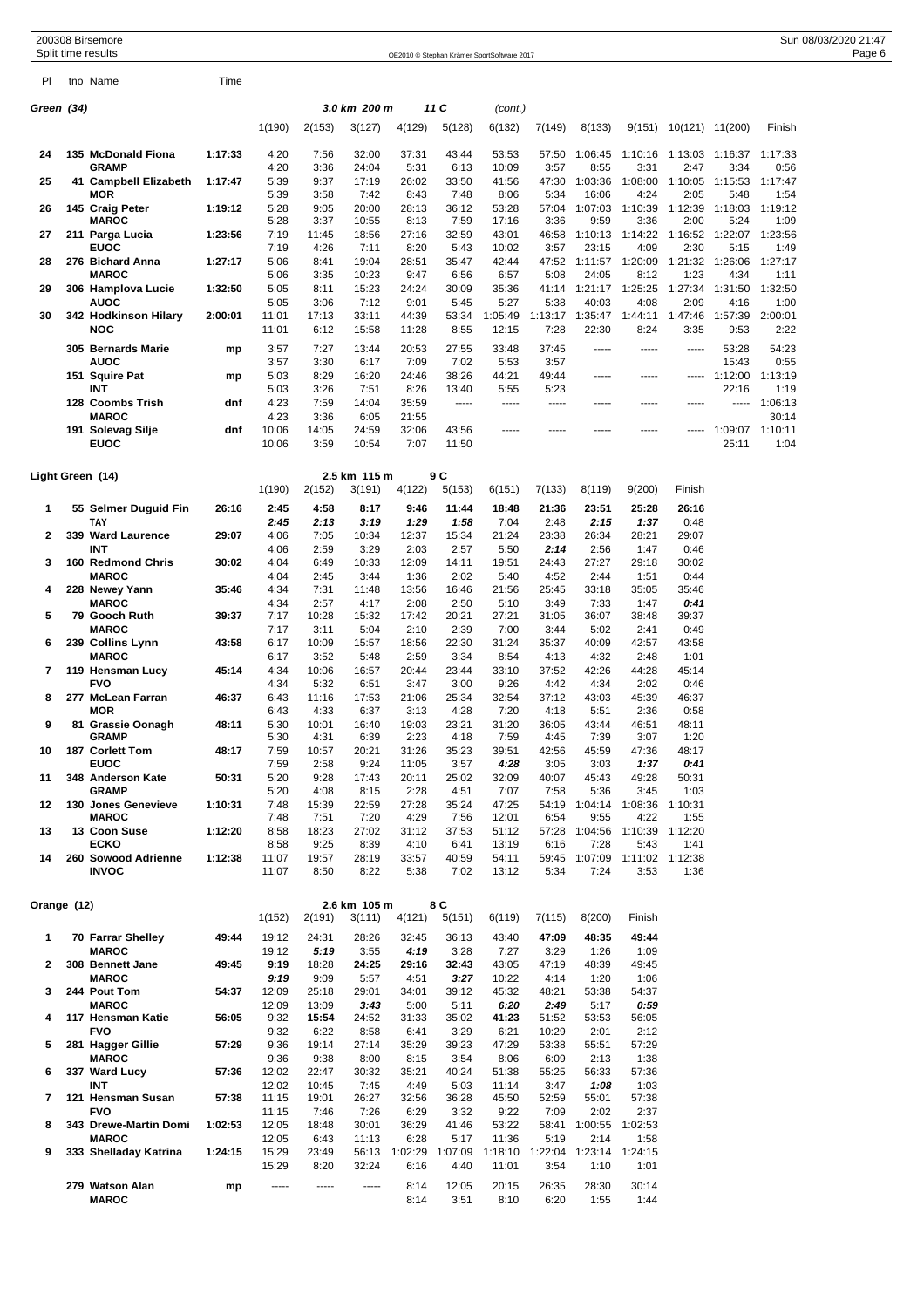| PI          | tno Name                              | Time    |                |                |                        |                |                |                 |                 |                  |                 |                 |                  |                 |  |  |  |
|-------------|---------------------------------------|---------|----------------|----------------|------------------------|----------------|----------------|-----------------|-----------------|------------------|-----------------|-----------------|------------------|-----------------|--|--|--|
| Green (34)  |                                       |         |                |                | 3.0 km 200 m           |                | 11 C           | (cont.)         |                 |                  |                 |                 |                  |                 |  |  |  |
|             |                                       |         | 1(190)         | 2(153)         | 3(127)                 | 4(129)         | 5(128)         | 6(132)          | 7(149)          | 8(133)           | 9(151)          | 10(121) 11(200) |                  | Finish          |  |  |  |
|             |                                       |         |                |                |                        |                |                |                 |                 |                  |                 |                 |                  |                 |  |  |  |
| 24          | 135 McDonald Fiona                    | 1:17:33 | 4:20           | 7:56           | 32:00                  | 37:31          | 43:44          | 53:53           | 57:50           | 1:06:45          | 1:10:16         | 1:13:03 1:16:37 |                  | 1:17:33         |  |  |  |
| 25          | <b>GRAMP</b><br>41 Campbell Elizabeth | 1:17:47 | 4:20<br>5:39   | 3:36<br>9:37   | 24:04<br>17:19         | 5:31<br>26:02  | 6:13<br>33:50  | 10:09<br>41:56  | 3:57<br>47:30   | 8:55<br>1:03:36  | 3:31<br>1:08:00 | 2:47<br>1:10:05 | 3:34<br>1:15:53  | 0:56<br>1:17:47 |  |  |  |
|             | <b>MOR</b>                            |         | 5:39           | 3:58           | 7:42                   | 8:43           | 7:48           | 8:06            | 5:34            | 16:06            | 4:24            | 2:05            | 5:48             | 1:54            |  |  |  |
| 26          | 145 Craig Peter                       | 1:19:12 | 5:28           | 9:05           | 20:00                  | 28:13          | 36:12          | 53:28           | 57:04           | 1:07:03          | 1:10:39         | 1:12:39         | 1:18:03          | 1:19:12         |  |  |  |
|             | <b>MAROC</b>                          |         | 5:28           | 3:37           | 10:55                  | 8:13           | 7:59           | 17:16           | 3:36            | 9:59             | 3:36            | 2:00            | 5:24             | 1:09            |  |  |  |
| 27          | 211 Parga Lucia<br><b>EUOC</b>        | 1:23:56 | 7:19<br>7:19   | 11:45<br>4:26  | 18:56<br>7:11          | 27:16<br>8:20  | 32:59<br>5:43  | 43:01<br>10:02  | 46:58<br>3:57   | 1:10:13<br>23:15 | 1:14:22<br>4:09 | 1:16:52<br>2:30 | 1:22:07<br>5:15  | 1:23:56<br>1:49 |  |  |  |
| 28          | 276 Bichard Anna                      | 1:27:17 | 5:06           | 8:41           | 19:04                  | 28:51          | 35:47          | 42:44           | 47:52           | 1:11:57          | 1:20:09         | 1:21:32         | 1:26:06          | 1:27:17         |  |  |  |
|             | <b>MAROC</b>                          |         | 5:06           | 3:35           | 10:23                  | 9:47           | 6:56           | 6:57            | 5:08            | 24:05            | 8:12            | 1:23            | 4:34             | 1:11            |  |  |  |
| 29          | 306 Hamplova Lucie                    | 1:32:50 | 5:05           | 8:11           | 15:23                  | 24:24          | 30:09          | 35:36           | 41:14           | 1:21:17          | 1:25:25         | 1:27:34         | 1:31:50          | 1:32:50         |  |  |  |
| 30          | AUOC<br>342 Hodkinson Hilary          | 2:00:01 | 5:05<br>11:01  | 3:06<br>17:13  | 7:12<br>33:11          | 9:01<br>44:39  | 5:45<br>53:34  | 5:27<br>1:05:49 | 5:38<br>1:13:17 | 40:03<br>1:35:47 | 4:08<br>1:44:11 | 2:09<br>1:47:46 | 4:16<br>1:57:39  | 1:00<br>2:00:01 |  |  |  |
|             | <b>NOC</b>                            |         | 11:01          | 6:12           | 15:58                  | 11:28          | 8:55           | 12:15           | 7:28            | 22:30            | 8:24            | 3:35            | 9:53             | 2:22            |  |  |  |
|             | 305 Bernards Marie                    |         | 3:57           | 7:27           | 13:44                  | 20:53          | 27:55          | 33:48           | 37:45           | -----            | -----           | -----           | 53:28            | 54:23           |  |  |  |
|             | AUOC                                  | mp      | 3:57           | 3:30           | 6:17                   | 7:09           | 7:02           | 5:53            | 3:57            |                  |                 |                 | 15:43            | 0:55            |  |  |  |
|             | 151 Squire Pat                        | mp      | 5:03           | 8:29           | 16:20                  | 24:46          | 38:26          | 44:21           | 49:44           | -----            | -----           | -----           | 1:12:00          | 1:13:19         |  |  |  |
|             | INT                                   |         | 5:03           | 3:26           | 7:51                   | 8:26           | 13:40          | 5:55            | 5:23            |                  |                 |                 | 22:16            | 1:19            |  |  |  |
|             | 128 Coombs Trish                      | dnf     | 4:23           | 7:59           | 14:04                  | 35:59          | -----          | -----           | -----           | -----            | -----           | -----           | -----            | 1:06:13         |  |  |  |
|             | <b>MAROC</b>                          |         | 4:23           | 3:36           | 6:05                   | 21:55          |                |                 |                 |                  |                 |                 |                  | 30:14           |  |  |  |
|             | 191 Solevag Silje<br><b>EUOC</b>      | dnf     | 10:06<br>10:06 | 14:05<br>3:59  | 24:59<br>10:54         | 32:06<br>7:07  | 43:56<br>11:50 | -----           |                 | -----            | -----           |                 | 1:09:07<br>25:11 | 1:10:11<br>1:04 |  |  |  |
|             |                                       |         |                |                |                        |                |                |                 |                 |                  |                 |                 |                  |                 |  |  |  |
|             |                                       |         |                |                |                        |                |                |                 |                 |                  |                 |                 |                  |                 |  |  |  |
|             | Light Green (14)                      |         | 1(190)         | 2(152)         | 2.5 km 115 m<br>3(191) | 4(122)         | 9 C<br>5(153)  | 6(151)          | 7(133)          | 8(119)           | 9(200)          | Finish          |                  |                 |  |  |  |
|             |                                       |         |                |                |                        |                |                |                 |                 |                  | 25:28           |                 |                  |                 |  |  |  |
| 1           | 55 Selmer Duguid Fin<br>TAY           | 26:16   | 2:45<br>2:45   | 4:58<br>2:13   | 8:17<br>3:19           | 9:46<br>1:29   | 11:44<br>1:58  | 18:48<br>7:04   | 21:36<br>2:48   | 23:51<br>2:15    | 1:37            | 26:16<br>0:48   |                  |                 |  |  |  |
| 2           | 339 Ward Laurence                     | 29:07   | 4:06           | 7:05           | 10:34                  | 12:37          | 15:34          | 21:24           | 23:38           | 26:34            | 28:21           | 29:07           |                  |                 |  |  |  |
|             | <b>INT</b>                            |         | 4:06           | 2:59           | 3:29                   | 2:03           | 2:57           | 5:50            | 2:14            | 2:56             | 1:47            | 0:46            |                  |                 |  |  |  |
| 3           | 160 Redmond Chris                     | 30:02   | 4:04           | 6:49           | 10:33                  | 12:09          | 14:11          | 19:51           | 24:43           | 27:27            | 29:18           | 30:02           |                  |                 |  |  |  |
|             | <b>MAROC</b>                          |         | 4:04           | 2:45           | 3:44                   | 1:36           | 2:02           | 5:40            | 4:52            | 2:44             | 1:51            | 0:44            |                  |                 |  |  |  |
| 4           | 228 Newey Yann                        | 35:46   | 4:34<br>4:34   | 7:31           | 11:48                  | 13:56          | 16:46          | 21:56           | 25:45           | 33:18            | 35:05           | 35:46           |                  |                 |  |  |  |
| 5           | <b>MAROC</b><br>79 Gooch Ruth         | 39:37   | 7:17           | 2:57<br>10:28  | 4:17<br>15:32          | 2:08<br>17:42  | 2:50<br>20:21  | 5:10<br>27:21   | 3:49<br>31:05   | 7:33<br>36:07    | 1:47<br>38:48   | 0:41<br>39:37   |                  |                 |  |  |  |
|             | <b>MAROC</b>                          |         | 7:17           | 3:11           | 5:04                   | 2:10           | 2:39           | 7:00            | 3:44            | 5:02             | 2:41            | 0:49            |                  |                 |  |  |  |
| 6           | 239 Collins Lynn                      | 43:58   | 6:17           | 10:09          | 15:57                  | 18:56          | 22:30          | 31:24           | 35:37           | 40:09            | 42:57           | 43:58           |                  |                 |  |  |  |
|             | <b>MAROC</b>                          |         | 6:17           | 3:52           | 5:48                   | 2:59           | 3:34           | 8:54            | 4:13            | 4:32             | 2:48            | 1:01            |                  |                 |  |  |  |
| 7           | 119 Hensman Lucy<br><b>FVO</b>        | 45:14   | 4:34           | 10:06          | 16:57                  | 20:44          | 23:44          | 33:10           | 37:52           | 42:26            | 44:28           | 45:14           |                  |                 |  |  |  |
| 8           | 277 McLean Farran                     | 46:37   | 4:34<br>6:43   | 5:32<br>11:16  | 6:51<br>17:53          | 3:47<br>21:06  | 3:00<br>25:34  | 9:26<br>32:54   | 4:42<br>37:12   | 4:34<br>43:03    | 2:02<br>45:39   | 0:46<br>46:37   |                  |                 |  |  |  |
|             | <b>MOR</b>                            |         | 6:43           | 4:33           | 6:37                   | 3:13           | 4:28           | 7:20            | 4:18            | 5:51             | 2:36            | 0:58            |                  |                 |  |  |  |
| 9           | 81 Grassie Oonagh                     | 48:11   | 5:30           | 10:01          | 16:40                  | 19:03          | 23:21          | 31:20           | 36:05           | 43:44            | 46:51           | 48:11           |                  |                 |  |  |  |
|             | <b>GRAMP</b>                          |         | 5:30           | 4:31           | 6:39                   | 2:23           | 4:18           | 7:59            | 4:45            | 7:39             | 3:07            | 1:20            |                  |                 |  |  |  |
| 10          | 187 Corlett Tom                       | 48:17   | 7:59           | 10:57          | 20:21                  | 31:26          | 35:23          | 39:51           | 42:56           | 45:59            | 47:36           | 48:17           |                  |                 |  |  |  |
| 11          | <b>ENOC</b><br>348 Anderson Kate      | 50:31   | 7:59<br>5:20   | 2:58<br>9:28   | 9:24<br>17:43          | 11:05<br>20:11 | 3:57<br>25:02  | 4:28<br>32:09   | 3:05<br>40:07   | 3:03<br>45:43    | 1:37<br>49:28   | U.41<br>50:31   |                  |                 |  |  |  |
|             | <b>GRAMP</b>                          |         | 5:20           | 4:08           | 8:15                   | 2:28           | 4:51           | 7:07            | 7:58            | 5:36             | 3:45            | 1:03            |                  |                 |  |  |  |
| 12          | 130 Jones Genevieve                   | 1:10:31 | 7:48           | 15:39          | 22:59                  | 27:28          | 35:24          | 47:25           | 54:19           |                  | 1:04:14 1:08:36 | 1:10:31         |                  |                 |  |  |  |
|             | <b>MAROC</b>                          |         | 7:48           | 7:51           | 7:20                   | 4:29           | 7:56           | 12:01           | 6:54            | 9:55             | 4:22            | 1:55            |                  |                 |  |  |  |
| 13          | 13 Coon Suse                          | 1:12:20 | 8:58           | 18:23          | 27:02                  | 31:12          | 37:53          | 51:12           | 57:28           | 1:04:56 1:10:39  |                 | 1:12:20         |                  |                 |  |  |  |
| 14          | ECKO<br>260 Sowood Adrienne           | 1:12:38 | 8:58<br>11:07  | 9:25<br>19:57  | 8:39<br>28:19          | 4:10<br>33:57  | 6:41<br>40:59  | 13:19<br>54:11  | 6:16<br>59:45   | 7:28<br>1:07:09  | 5:43<br>1:11:02 | 1:41<br>1:12:38 |                  |                 |  |  |  |
|             | <b>INVOC</b>                          |         | 11:07          | 8:50           | 8:22                   | 5:38           | 7:02           | 13:12           | 5:34            | 7:24             | 3:53            | 1:36            |                  |                 |  |  |  |
|             |                                       |         |                |                |                        |                |                |                 |                 |                  |                 |                 |                  |                 |  |  |  |
| Orange (12) |                                       |         |                |                | 2.6 km 105 m           |                | 8 C            |                 |                 |                  |                 |                 |                  |                 |  |  |  |
|             |                                       |         | 1(152)         | 2(191)         | 3(111)                 | 4(121)         | 5(151)         | 6(119)          | 7(115)          | 8(200)           | Finish          |                 |                  |                 |  |  |  |
| 1           | 70 Farrar Shelley                     | 49:44   | 19:12          | 24:31          | 28:26                  | 32:45          | 36:13          | 43:40           | 47:09           | 48:35            | 49:44           |                 |                  |                 |  |  |  |
|             | <b>MAROC</b>                          |         | 19:12          | 5:19           | 3:55                   | 4:19           | 3:28           | 7:27            | 3:29            | 1:26             | 1:09            |                 |                  |                 |  |  |  |
| 2           | 308 Bennett Jane                      | 49:45   | 9:19           | 18:28          | 24:25                  | 29:16          | 32:43          | 43:05           | 47:19           | 48:39            | 49:45           |                 |                  |                 |  |  |  |
|             | <b>MAROC</b>                          |         | 9:19           | 9:09           | 5:57                   | 4:51           | 3:27           | 10:22           | 4:14            | 1:20             | 1:06            |                 |                  |                 |  |  |  |
| 3           | 244 Pout Tom                          | 54:37   | 12:09          | 25:18          | 29:01                  | 34:01          | 39:12          | 45:32           | 48:21           | 53:38            | 54:37           |                 |                  |                 |  |  |  |
| 4           | <b>MAROC</b><br>117 Hensman Katie     | 56:05   | 12:09<br>9:32  | 13:09<br>15:54 | 3:43<br>24:52          | 5:00<br>31:33  | 5:11<br>35:02  | 6:20<br>41:23   | 2:49<br>51:52   | 5:17<br>53:53    | 0:59<br>56:05   |                 |                  |                 |  |  |  |
|             | <b>FVO</b>                            |         | 9:32           | 6:22           | 8:58                   | 6:41           | 3:29           | 6:21            | 10:29           | 2:01             | 2:12            |                 |                  |                 |  |  |  |
| 5           | 281 Hagger Gillie                     | 57:29   | 9:36           | 19:14          | 27:14                  | 35:29          | 39:23          | 47:29           | 53:38           | 55:51            | 57:29           |                 |                  |                 |  |  |  |
|             | <b>MAROC</b>                          |         | 9:36           | 9:38           | 8:00                   | 8:15           | 3:54           | 8:06            | 6:09            | 2:13             | 1:38            |                 |                  |                 |  |  |  |
| 6           | 337 Ward Lucy                         | 57:36   | 12:02          | 22:47          | 30:32                  | 35:21          | 40:24          | 51:38           | 55:25           | 56:33            | 57:36           |                 |                  |                 |  |  |  |
|             | INT                                   |         | 12:02          | 10:45          | 7:45                   | 4:49           | 5:03           | 11:14           | 3:47            | 1:08             | 1:03            |                 |                  |                 |  |  |  |
| 7           | 121 Hensman Susan<br><b>FVO</b>       | 57:38   | 11:15<br>11:15 | 19:01<br>7:46  | 26:27<br>7:26          | 32:56<br>6:29  | 36:28<br>3:32  | 45:50<br>9:22   | 52:59<br>7:09   | 55:01<br>2:02    | 57:38<br>2:37   |                 |                  |                 |  |  |  |
| 8           | 343 Drewe-Martin Domi                 | 1:02:53 | 12:05          | 18:48          | 30:01                  | 36:29          | 41:46          | 53:22           | 58:41           | 1:00:55          | 1:02:53         |                 |                  |                 |  |  |  |
|             | <b>MAROC</b>                          |         | 12:05          | 6:43           | 11:13                  | 6:28           | 5:17           | 11:36           | 5:19            | 2:14             | 1:58            |                 |                  |                 |  |  |  |
| 9           | 333 Shelladay Katrina                 | 1:24:15 | 15:29          | 23:49          | 56:13                  | 1:02:29        | 1:07:09        | 1:18:10         | 1:22:04         | 1:23:14          | 1:24:15         |                 |                  |                 |  |  |  |
|             |                                       |         | 15:29          | 8:20           | 32:24                  | 6:16           | 4:40           | 11:01           | 3:54            | 1:10             | 1:01            |                 |                  |                 |  |  |  |
|             | 279 Watson Alan                       | mp      | -----          | -----          | -----                  | 8:14           | 12:05          | 20:15           | 26:35           | 28:30            | 30:14           |                 |                  |                 |  |  |  |
|             | <b>MAROC</b>                          |         |                |                |                        | 8:14           | 3:51           | 8:10            | 6:20            | 1:55             | 1:44            |                 |                  |                 |  |  |  |